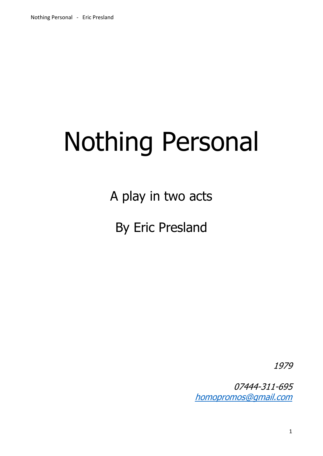# Nothing Personal

A play in two acts

By Eric Presland

1979

07444-311-695 [homopromos@gmail.com](mailto:homopromos@gmail.com)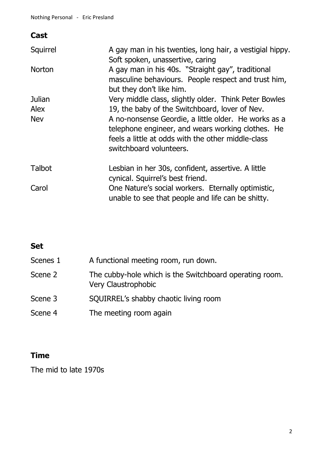# **Cast**

| Squirrel      | A gay man in his twenties, long hair, a vestigial hippy.<br>Soft spoken, unassertive, caring                                                                                               |
|---------------|--------------------------------------------------------------------------------------------------------------------------------------------------------------------------------------------|
| <b>Norton</b> | A gay man in his 40s. "Straight gay", traditional                                                                                                                                          |
|               | masculine behaviours. People respect and trust him,                                                                                                                                        |
|               | but they don't like him.                                                                                                                                                                   |
| Julian        | Very middle class, slightly older. Think Peter Bowles                                                                                                                                      |
| <b>Alex</b>   | 19, the baby of the Switchboard, lover of Nev.                                                                                                                                             |
| <b>Nev</b>    | A no-nonsense Geordie, a little older. He works as a<br>telephone engineer, and wears working clothes. He<br>feels a little at odds with the other middle-class<br>switchboard volunteers. |
| <b>Talbot</b> | Lesbian in her 30s, confident, assertive. A little<br>cynical. Squirrel's best friend.                                                                                                     |
| Carol         | One Nature's social workers. Eternally optimistic,<br>unable to see that people and life can be shitty.                                                                                    |

# **Set**

| Scenes 1 | A functional meeting room, run down.                                           |
|----------|--------------------------------------------------------------------------------|
| Scene 2  | The cubby-hole which is the Switchboard operating room.<br>Very Claustrophobic |
| Scene 3  | SQUIRREL's shabby chaotic living room                                          |
| Scene 4  | The meeting room again                                                         |

# **Time**

The mid to late 1970s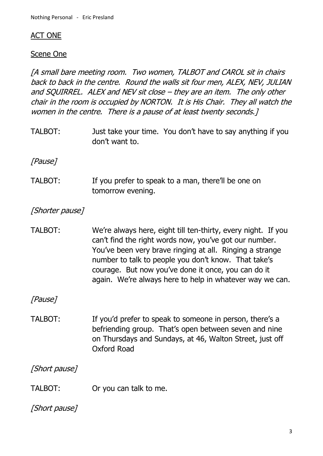#### ACT ONE

#### Scene One

[A small bare meeting room. Two women, TALBOT and CAROL sit in chairs back to back in the centre. Round the walls sit four men, ALEX, NEV, JULIAN and SQUIRREL. ALEX and NEV sit close – they are an item. The only other chair in the room is occupied by NORTON. It is His Chair. They all watch the women in the centre. There is a pause of at least twenty seconds.]

TALBOT: Just take your time. You don't have to say anything if you don't want to.

[Pause]

TALBOT: If you prefer to speak to a man, there'll be one on tomorrow evening.

[Shorter pause]

TALBOT: We're always here, eight till ten-thirty, every night. If you can't find the right words now, you've got our number. You've been very brave ringing at all. Ringing a strange number to talk to people you don't know. That take's courage. But now you've done it once, you can do it again. We're always here to help in whatever way we can.

[Pause]

TALBOT: If you'd prefer to speak to someone in person, there's a befriending group. That's open between seven and nine on Thursdays and Sundays, at 46, Walton Street, just off Oxford Road

[Short pause]

TALBOT: Or you can talk to me.

[Short pause]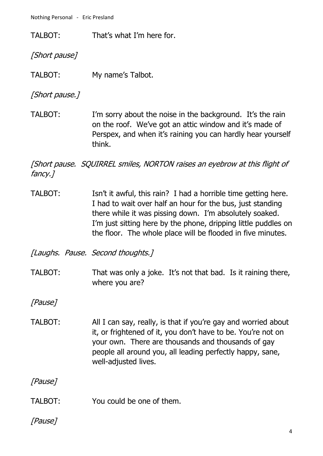TALBOT: That's what I'm here for.

[Short pause]

TALBOT: My name's Talbot.

[Short pause.]

TALBOT: I'm sorry about the noise in the background. It's the rain on the roof. We've got an attic window and it's made of Perspex, and when it's raining you can hardly hear yourself think.

[Short pause. SQUIRREL smiles, NORTON raises an eyebrow at this flight of fancy.]

TALBOT: Isn't it awful, this rain? I had a horrible time getting here. I had to wait over half an hour for the bus, just standing there while it was pissing down. I'm absolutely soaked. I'm just sitting here by the phone, dripping little puddles on the floor. The whole place will be flooded in five minutes.

[Laughs. Pause. Second thoughts.]

TALBOT: That was only a joke. It's not that bad. Is it raining there, where you are?

[Pause]

TALBOT: All I can say, really, is that if you're gay and worried about it, or frightened of it, you don't have to be. You're not on your own. There are thousands and thousands of gay people all around you, all leading perfectly happy, sane, well-adjusted lives.

[Pause]

TALBOT: You could be one of them.

# [Pause]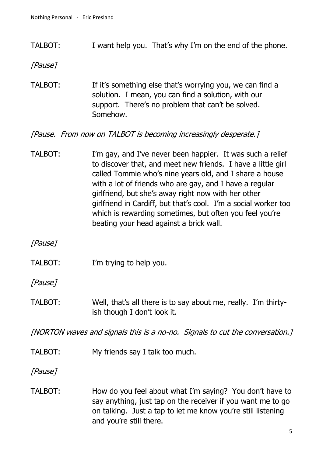TALBOT: I want help you. That's why I'm on the end of the phone.

[Pause]

TALBOT: If it's something else that's worrying you, we can find a solution. I mean, you can find a solution, with our support. There's no problem that can't be solved. Somehow.

[Pause. From now on TALBOT is becoming increasingly desperate.]

TALBOT: I'm gay, and I've never been happier. It was such a relief to discover that, and meet new friends. I have a little girl called Tommie who's nine years old, and I share a house with a lot of friends who are gay, and I have a regular girlfriend, but she's away right now with her other girlfriend in Cardiff, but that's cool. I'm a social worker too which is rewarding sometimes, but often you feel you're beating your head against a brick wall.

[Pause]

TALBOT: I'm trying to help you.

[Pause]

TALBOT: Well, that's all there is to say about me, really. I'm thirtyish though I don't look it.

[NORTON waves and signals this is a no-no. Signals to cut the conversation.]

TALBOT: My friends say I talk too much.

[Pause]

TALBOT: How do you feel about what I'm saying? You don't have to say anything, just tap on the receiver if you want me to go on talking. Just a tap to let me know you're still listening and you're still there.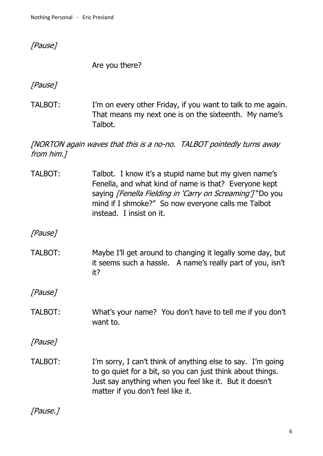[Pause]

Are you there?

[Pause]

TALBOT: I'm on every other Friday, if you want to talk to me again. That means my next one is on the sixteenth. My name's Talbot.

[NORTON again waves that this is a no-no. TALBOT pointedly turns away from him.]

TALBOT: Talbot. I know it's a stupid name but my given name's Fenella, and what kind of name is that? Everyone kept saying [Fenella Fielding in 'Carry on Screaming'] "Do you mind if I shmoke?" So now everyone calls me Talbot instead. I insist on it.

[Pause]

TALBOT: Maybe I'll get around to changing it legally some day, but it seems such a hassle. A name's really part of you, isn't it?

[Pause]

TALBOT: What's your name? You don't have to tell me if you don't want to.

[Pause]

TALBOT: I'm sorry, I can't think of anything else to say. I'm going to go quiet for a bit, so you can just think about things. Just say anything when you feel like it. But it doesn't matter if you don't feel like it.

[Pause.]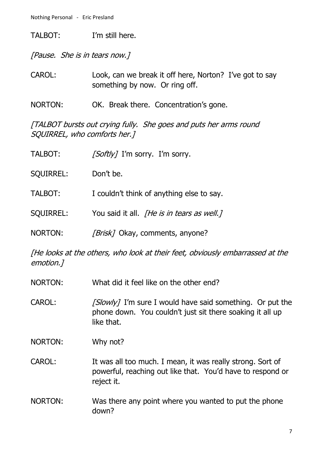TALBOT: I'm still here.

[Pause. She is in tears now.]

- CAROL: Look, can we break it off here, Norton? I've got to say something by now. Or ring off.
- NORTON: OK. Break there. Concentration's gone.

[TALBOT bursts out crying fully. She goes and puts her arms round SQUIRREL, who comforts her.]

| TALBOT:          | [Softly] I'm sorry. I'm sorry.                    |
|------------------|---------------------------------------------------|
| <b>SQUIRREL:</b> | Don't be.                                         |
| TALBOT:          | I couldn't think of anything else to say.         |
| <b>SQUIRREL:</b> | You said it all. <i>[He is in tears as well.]</i> |
| NORTON:          | <i>[Brisk]</i> Okay, comments, anyone?            |

[He looks at the others, who look at their feet, obviously embarrassed at the emotion.]

- NORTON: What did it feel like on the other end?
- CAROL:  $\frac{S \cdot \text{S} \cdot \text{S} \cdot \text{S} \cdot \text{S} \cdot \text{S} \cdot \text{S} \cdot \text{S} \cdot \text{S} \cdot \text{S}}{S \cdot \text{S} \cdot \text{S} \cdot \text{S} \cdot \text{S} \cdot \text{S} \cdot \text{S} \cdot \text{S} \cdot \text{S} \cdot \text{S} \cdot \text{S} \cdot \text{S} \cdot \text{S} \cdot \text{S} \cdot \text{S} \cdot \text{S} \cdot \text{S} \cdot \text{S} \cdot \text{S} \cdot \text{S} \cdot \text{S} \cdot \text$ phone down. You couldn't just sit there soaking it all up like that.
- NORTON: Why not?
- CAROL: It was all too much. I mean, it was really strong. Sort of powerful, reaching out like that. You'd have to respond or reject it.
- NORTON: Was there any point where you wanted to put the phone down?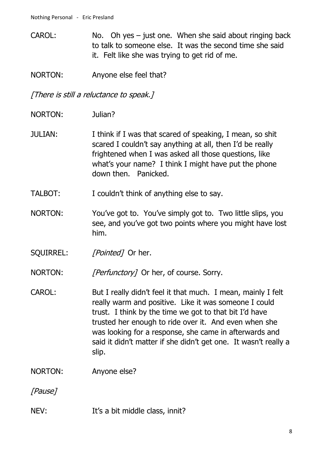CAROL: No. Oh yes – just one. When she said about ringing back to talk to someone else. It was the second time she said it. Felt like she was trying to get rid of me.

NORTON: Anyone else feel that?

[There is still a reluctance to speak.]

- NORTON: Julian?
- JULIAN: I think if I was that scared of speaking, I mean, so shit scared I couldn't say anything at all, then I'd be really frightened when I was asked all those questions, like what's your name? I think I might have put the phone down then. Panicked.
- TALBOT: I couldn't think of anything else to say.
- NORTON: You've got to. You've simply got to. Two little slips, you see, and you've got two points where you might have lost him.
- SQUIRREL: [Pointed] Or her.

NORTON: [Perfunctory] Or her, of course. Sorry.

- CAROL: But I really didn't feel it that much. I mean, mainly I felt really warm and positive. Like it was someone I could trust. I think by the time we got to that bit I'd have trusted her enough to ride over it. And even when she was looking for a response, she came in afterwards and said it didn't matter if she didn't get one. It wasn't really a slip.
- NORTON: Anyone else?

[Pause]

NEV: It's a bit middle class, innit?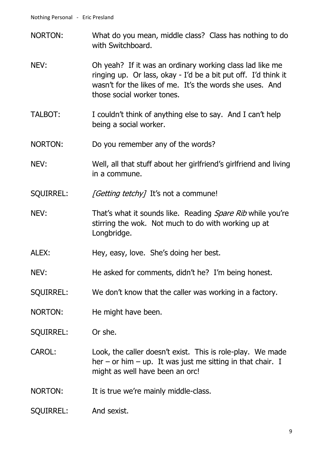- NORTON: What do you mean, middle class? Class has nothing to do with Switchboard.
- NEV: Oh yeah? If it was an ordinary working class lad like me ringing up. Or lass, okay - I'd be a bit put off. I'd think it wasn't for the likes of me. It's the words she uses. And those social worker tones.
- TALBOT: I couldn't think of anything else to say. And I can't help being a social worker.
- NORTON: Do you remember any of the words?
- NEV: Well, all that stuff about her girlfriend's girlfriend and living in a commune.
- SQUIRREL: [Getting tetchy] It's not a commune!
- NEV: That's what it sounds like. Reading Spare Rib while you're stirring the wok. Not much to do with working up at Longbridge.
- ALEX: Hey, easy, love. She's doing her best.
- NEV: He asked for comments, didn't he? I'm being honest.
- SQUIRREL: We don't know that the caller was working in a factory.
- NORTON: He might have been.
- SQUIRREL: Or she.
- CAROL: Look, the caller doesn't exist. This is role-play. We made her – or him – up. It was just me sitting in that chair. I might as well have been an orc!
- NORTON: It is true we're mainly middle-class.
- SQUIRREL: And sexist.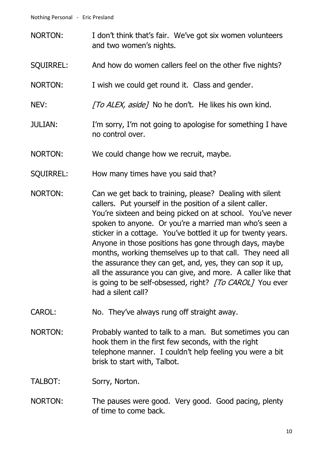- NORTON: I don't think that's fair. We've got six women volunteers and two women's nights.
- SQUIRREL: And how do women callers feel on the other five nights?
- NORTON: I wish we could get round it. Class and gender.
- NEV: The ALEX, aside] No he don't. He likes his own kind.
- JULIAN: I'm sorry, I'm not going to apologise for something I have no control over.
- NORTON: We could change how we recruit, maybe.
- SQUIRREL: How many times have you said that?
- NORTON: Can we get back to training, please? Dealing with silent callers. Put yourself in the position of a silent caller. You're sixteen and being picked on at school. You've never spoken to anyone. Or you're a married man who's seen a sticker in a cottage. You've bottled it up for twenty years. Anyone in those positions has gone through days, maybe months, working themselves up to that call. They need all the assurance they can get, and, yes, they can sop it up, all the assurance you can give, and more. A caller like that is going to be self-obsessed, right? [To CAROL] You ever had a silent call?
- CAROL: No. They've always rung off straight away.
- NORTON: Probably wanted to talk to a man. But sometimes you can hook them in the first few seconds, with the right telephone manner. I couldn't help feeling you were a bit brisk to start with, Talbot.

TALBOT: Sorry, Norton.

NORTON: The pauses were good. Very good. Good pacing, plenty of time to come back.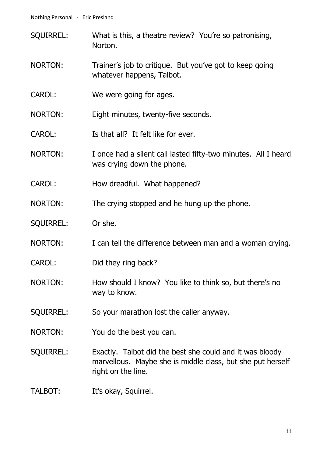- SQUIRREL: What is this, a theatre review? You're so patronising, Norton.
- NORTON: Trainer's job to critique. But you've got to keep going whatever happens, Talbot.
- CAROL: We were going for ages.
- NORTON: Eight minutes, twenty-five seconds.
- CAROL: Is that all? It felt like for ever.
- NORTON: I once had a silent call lasted fifty-two minutes. All I heard was crying down the phone.
- CAROL: How dreadful. What happened?
- NORTON: The crying stopped and he hung up the phone.
- SQUIRREL: Or she.
- NORTON: I can tell the difference between man and a woman crying.
- CAROL: Did they ring back?
- NORTON: How should I know? You like to think so, but there's no way to know.
- SQUIRREL: So your marathon lost the caller anyway.
- NORTON: You do the best you can.
- SQUIRREL: Exactly. Talbot did the best she could and it was bloody marvellous. Maybe she is middle class, but she put herself right on the line.
- TALBOT: It's okay, Squirrel.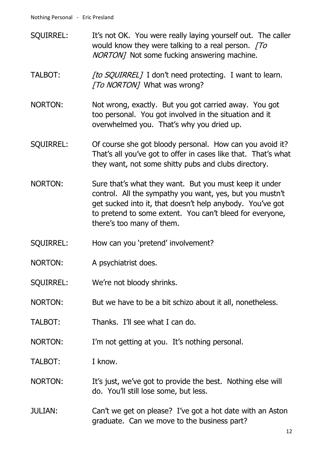- SQUIRREL: It's not OK. You were really laying yourself out. The caller would know they were talking to a real person.  $T\sigma$ NORTON] Not some fucking answering machine.
- TALBOT: [to SQUIRREL] I don't need protecting. I want to learn. [To NORTON] What was wrong?
- NORTON: Not wrong, exactly. But you got carried away. You got too personal. You got involved in the situation and it overwhelmed you. That's why you dried up.
- SQUIRREL: Of course she got bloody personal. How can you avoid it? That's all you've got to offer in cases like that. That's what they want, not some shitty pubs and clubs directory.
- NORTON: Sure that's what they want. But you must keep it under control. All the sympathy you want, yes, but you mustn't get sucked into it, that doesn't help anybody. You've got to pretend to some extent. You can't bleed for everyone, there's too many of them.
- SQUIRREL: How can you 'pretend' involvement?
- NORTON: A psychiatrist does.
- SQUIRREL: We're not bloody shrinks.
- NORTON: But we have to be a bit schizo about it all, nonetheless.
- TALBOT: Thanks. I'll see what I can do.
- NORTON: I'm not getting at you. It's nothing personal.
- TALBOT: I know.
- NORTON: It's just, we've got to provide the best. Nothing else will do. You'll still lose some, but less.
- JULIAN: Can't we get on please? I've got a hot date with an Aston graduate. Can we move to the business part?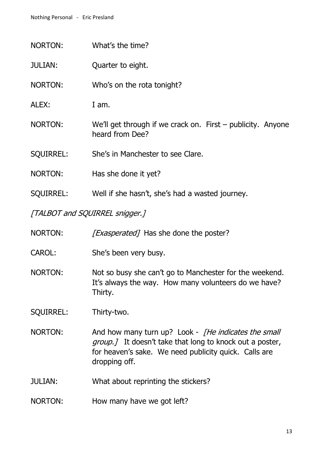- NORTON: What's the time?
- JULIAN: Quarter to eight.
- NORTON: Who's on the rota tonight?
- ALEX: I am.
- NORTON: We'll get through if we crack on. First publicity. Anyone heard from Dee?
- SQUIRREL: She's in Manchester to see Clare.
- NORTON: Has she done it yet?
- SQUIRREL: Well if she hasn't, she's had a wasted journey.

[TALBOT and SQUIRREL snigger.]

NORTON: [*Exasperated*] Has she done the poster?

- CAROL: She's been very busy.
- NORTON: Not so busy she can't go to Manchester for the weekend. It's always the way. How many volunteers do we have? Thirty.

SQUIRREL: Thirty-two.

- NORTON: And how many turn up? Look *[He indicates the small* group. *I* It doesn't take that long to knock out a poster, for heaven's sake. We need publicity quick. Calls are dropping off.
- JULIAN: What about reprinting the stickers?
- NORTON: How many have we got left?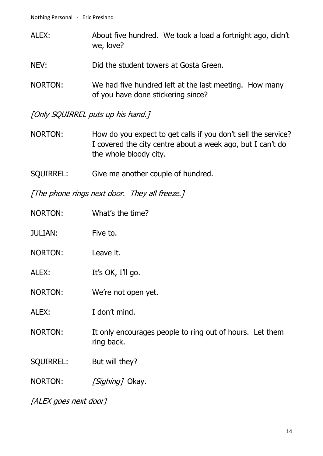- ALEX: About five hundred. We took a load a fortnight ago, didn't we, love?
- NEV: Did the student towers at Gosta Green.
- NORTON: We had five hundred left at the last meeting. How many of you have done stickering since?

[Only SQUIRREL puts up his hand.]

- NORTON: How do you expect to get calls if you don't sell the service? I covered the city centre about a week ago, but I can't do the whole bloody city.
- SQUIRREL: Give me another couple of hundred.

[The phone rings next door. They all freeze.]

NORTON: What's the time? JULIAN: Five to. NORTON: Leave it. ALEX: It's OK, I'll go. NORTON: We're not open yet. ALEX: I don't mind. NORTON: It only encourages people to ring out of hours. Let them ring back. SQUIRREL: But will they? NORTON: [Sighing] Okay.

[ALEX goes next door]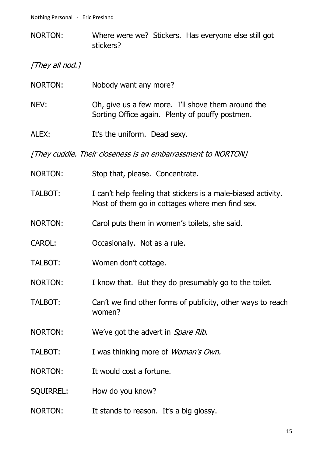NORTON: Where were we? Stickers. Has everyone else still got stickers?

[They all nod.]

| NORTON:          | Nobody want any more?                                                                                            |
|------------------|------------------------------------------------------------------------------------------------------------------|
| NEV:             | Oh, give us a few more. I'll shove them around the<br>Sorting Office again. Plenty of pouffy postmen.            |
| ALEX:            | It's the uniform. Dead sexy.                                                                                     |
|                  | [They cuddle. Their closeness is an embarrassment to NORTON]                                                     |
| NORTON:          | Stop that, please. Concentrate.                                                                                  |
| TALBOT:          | I can't help feeling that stickers is a male-biased activity.<br>Most of them go in cottages where men find sex. |
| <b>NORTON:</b>   | Carol puts them in women's toilets, she said.                                                                    |
| <b>CAROL:</b>    | Occasionally. Not as a rule.                                                                                     |
| TALBOT:          | Women don't cottage.                                                                                             |
| <b>NORTON:</b>   | I know that. But they do presumably go to the toilet.                                                            |
| TALBOT:          | Can't we find other forms of publicity, other ways to reach<br>women?                                            |
| NORTON:          | We've got the advert in <i>Spare Rib</i> .                                                                       |
| <b>TALBOT:</b>   | I was thinking more of Woman's Own.                                                                              |
| <b>NORTON:</b>   | It would cost a fortune.                                                                                         |
| <b>SQUIRREL:</b> | How do you know?                                                                                                 |
| NORTON:          | It stands to reason. It's a big glossy.                                                                          |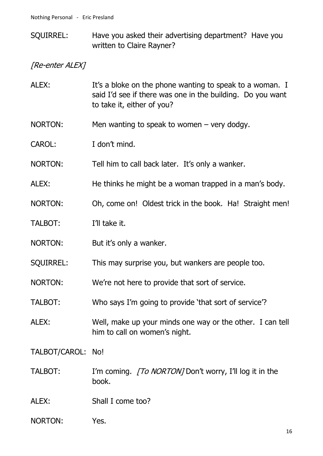SQUIRREL: Have you asked their advertising department? Have you written to Claire Rayner?

[Re-enter ALEX]

- ALEX: It's a bloke on the phone wanting to speak to a woman. I said I'd see if there was one in the building. Do you want to take it, either of you?
- NORTON: Men wanting to speak to women very dodgy.
- CAROL: I don't mind.
- NORTON: Tell him to call back later. It's only a wanker.
- ALEX: He thinks he might be a woman trapped in a man's body.
- NORTON: Oh, come on! Oldest trick in the book. Ha! Straight men!
- TALBOT: I'll take it.
- NORTON: But it's only a wanker.
- SQUIRREL: This may surprise you, but wankers are people too.
- NORTON: We're not here to provide that sort of service.
- TALBOT: Who says I'm going to provide 'that sort of service'?
- ALEX: Well, make up your minds one way or the other. I can tell him to call on women's night.

TALBOT/CAROL: No!

- TALBOT: I'm coming. *[To NORTON]* Don't worry, I'll log it in the book.
- ALEX: Shall I come too?
- NORTON: Yes.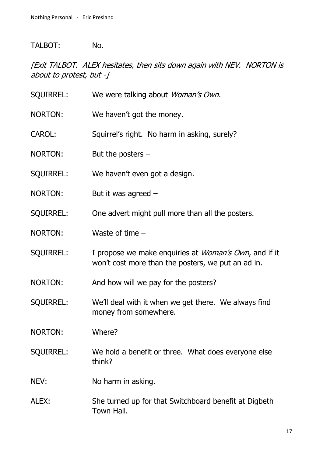#### TALBOT: No.

[Exit TALBOT. ALEX hesitates, then sits down again with NEV. NORTON is about to protest, but -]

SQUIRREL: We were talking about *Woman's Own.* NORTON: We haven't got the money. CAROL: Squirrel's right. No harm in asking, surely? NORTON: But the posters – SQUIRREL: We haven't even got a design. NORTON: But it was agreed – SQUIRREL: One advert might pull more than all the posters. NORTON: Waste of time – SQUIRREL: I propose we make enquiries at *Woman's Own*, and if it won't cost more than the posters, we put an ad in. NORTON: And how will we pay for the posters? SQUIRREL: We'll deal with it when we get there. We always find money from somewhere. NORTON: Where? SQUIRREL: We hold a benefit or three. What does everyone else think? NEV: No harm in asking. ALEX: She turned up for that Switchboard benefit at Digbeth Town Hall.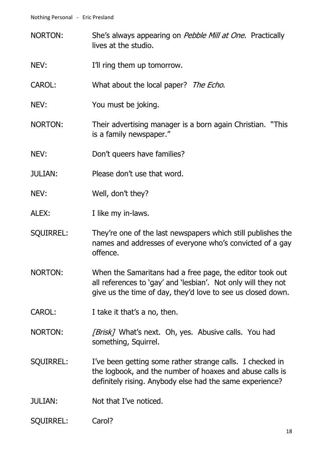- NORTON: She's always appearing on Pebble Mill at One. Practically lives at the studio.
- NEV: I'll ring them up tomorrow.
- CAROL: What about the local paper? The Echo.
- NEV: You must be joking.
- NORTON: Their advertising manager is a born again Christian. "This is a family newspaper."
- NEV: Don't queers have families?
- JULIAN: Please don't use that word.
- NEV: Well, don't they?
- ALEX: I like my in-laws.
- SQUIRREL: They're one of the last newspapers which still publishes the names and addresses of everyone who's convicted of a gay offence.
- NORTON: When the Samaritans had a free page, the editor took out all references to 'gay' and 'lesbian'. Not only will they not give us the time of day, they'd love to see us closed down.
- CAROL: I take it that's a no, then.
- NORTON: [Brisk] What's next. Oh, yes. Abusive calls. You had something, Squirrel.
- SOUIRREL: I've been getting some rather strange calls. I checked in the logbook, and the number of hoaxes and abuse calls is definitely rising. Anybody else had the same experience?
- JULIAN: Not that I've noticed.
- SQUIRREL: Carol?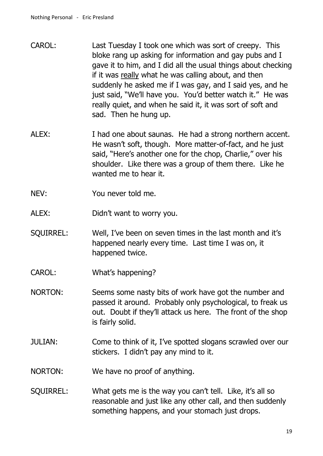- CAROL: Last Tuesday I took one which was sort of creepy. This bloke rang up asking for information and gay pubs and I gave it to him, and I did all the usual things about checking if it was really what he was calling about, and then suddenly he asked me if I was gay, and I said yes, and he just said, "We'll have you. You'd better watch it." He was really quiet, and when he said it, it was sort of soft and sad. Then he hung up.
- ALEX: I had one about saunas. He had a strong northern accent. He wasn't soft, though. More matter-of-fact, and he just said, "Here's another one for the chop, Charlie," over his shoulder. Like there was a group of them there. Like he wanted me to hear it.
- NEV: You never told me.
- ALEX: Didn't want to worry you.
- SQUIRREL: Well, I've been on seven times in the last month and it's happened nearly every time. Last time I was on, it happened twice.
- CAROL: What's happening?
- NORTON: Seems some nasty bits of work have got the number and passed it around. Probably only psychological, to freak us out. Doubt if they'll attack us here. The front of the shop is fairly solid.
- JULIAN: Come to think of it, I've spotted slogans scrawled over our stickers. I didn't pay any mind to it.
- NORTON: We have no proof of anything.
- SQUIRREL: What gets me is the way you can't tell. Like, it's all so reasonable and just like any other call, and then suddenly something happens, and your stomach just drops.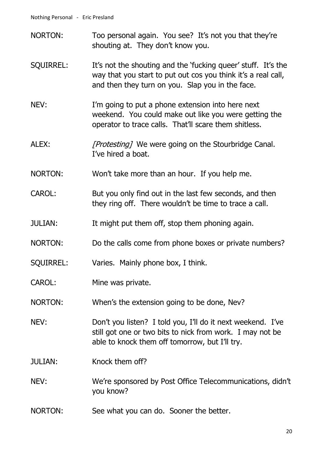- NORTON: Too personal again. You see? It's not you that they're shouting at. They don't know you.
- SQUIRREL: It's not the shouting and the 'fucking queer' stuff. It's the way that you start to put out cos you think it's a real call, and then they turn on you. Slap you in the face.
- NEV: I'm going to put a phone extension into here next weekend. You could make out like you were getting the operator to trace calls. That'll scare them shitless.
- ALEX: [Protesting] We were going on the Stourbridge Canal. I've hired a boat.
- NORTON: Won't take more than an hour. If you help me.
- CAROL: But you only find out in the last few seconds, and then they ring off. There wouldn't be time to trace a call.
- JULIAN: It might put them off, stop them phoning again.
- NORTON: Do the calls come from phone boxes or private numbers?
- SQUIRREL: Varies. Mainly phone box, I think.
- CAROL: Mine was private.
- NORTON: When's the extension going to be done, Nev?
- NEV: Don't you listen? I told you, I'll do it next weekend. I've still got one or two bits to nick from work. I may not be able to knock them off tomorrow, but I'll try.
- JULIAN: Knock them off?
- NEV: We're sponsored by Post Office Telecommunications, didn't you know?
- NORTON: See what you can do. Sooner the better.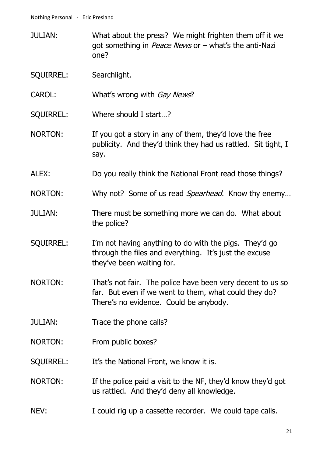- JULIAN: What about the press? We might frighten them off it we got something in *Peace News* or  $-$  what's the anti-Nazi one?
- SQUIRREL: Searchlight.
- CAROL: What's wrong with *Gav News*?
- SQUIRREL: Where should I start…?
- NORTON: If you got a story in any of them, they'd love the free publicity. And they'd think they had us rattled. Sit tight, I say.
- ALEX: Do you really think the National Front read those things?
- NORTON: Why not? Some of us read *Spearhead*. Know thy enemy...
- JULIAN: There must be something more we can do. What about the police?
- SQUIRREL: I'm not having anything to do with the pigs. They'd go through the files and everything. It's just the excuse they've been waiting for.
- NORTON: That's not fair. The police have been very decent to us so far. But even if we went to them, what could they do? There's no evidence. Could be anybody.
- JULIAN: Trace the phone calls?
- NORTON: From public boxes?
- SQUIRREL: It's the National Front, we know it is.
- NORTON: If the police paid a visit to the NF, they'd know they'd got us rattled. And they'd deny all knowledge.
- NEV: I could rig up a cassette recorder. We could tape calls.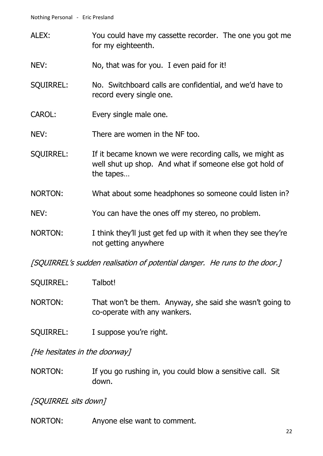- ALEX: You could have my cassette recorder. The one you got me for my eighteenth.
- NEV: No, that was for you. I even paid for it!
- SQUIRREL: No. Switchboard calls are confidential, and we'd have to record every single one.
- CAROL: Every single male one.
- NEV: There are women in the NF too.
- SQUIRREL: If it became known we were recording calls, we might as well shut up shop. And what if someone else got hold of the tapes…
- NORTON: What about some headphones so someone could listen in?
- NEV: You can have the ones off my stereo, no problem.
- NORTON: I think they'll just get fed up with it when they see they're not getting anywhere

[SQUIRREL's sudden realisation of potential danger. He runs to the door.]

- SQUIRREL: Talbot!
- NORTON: That won't be them. Anyway, she said she wasn't going to co-operate with any wankers.
- SQUIRREL: I suppose you're right.

[He hesitates in the doorway]

NORTON: If you go rushing in, you could blow a sensitive call. Sit down.

[SQUIRREL sits down]

NORTON: Anyone else want to comment.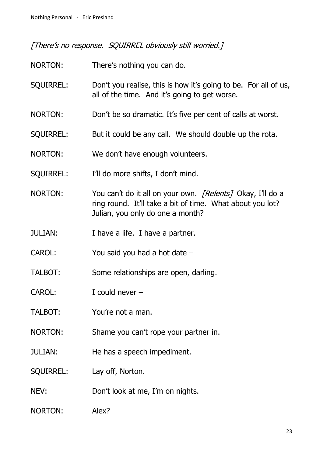[There's no response. SQUIRREL obviously still worried.]

- NORTON: There's nothing you can do.
- SQUIRREL: Don't you realise, this is how it's going to be. For all of us, all of the time. And it's going to get worse.
- NORTON: Don't be so dramatic. It's five per cent of calls at worst.
- SQUIRREL: But it could be any call. We should double up the rota.
- NORTON: We don't have enough volunteers.
- SQUIRREL: I'll do more shifts, I don't mind.
- NORTON: You can't do it all on your own. [Relents] Okay, I'll do a ring round. It'll take a bit of time. What about you lot? Julian, you only do one a month?
- JULIAN: I have a life. I have a partner.
- CAROL: You said you had a hot date –
- TALBOT: Some relationships are open, darling.
- CAROL: I could never –
- TALBOT: You're not a man.
- NORTON: Shame you can't rope your partner in.
- JULIAN: He has a speech impediment.
- SQUIRREL: Lay off, Norton.
- NEV: Don't look at me, I'm on nights.
- NORTON: Alex?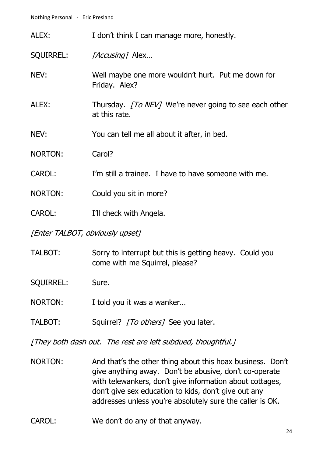| ALEX:                           | I don't think I can manage more, honestly.                                     |
|---------------------------------|--------------------------------------------------------------------------------|
| <b>SQUIRREL:</b>                | [Accusing] Alex                                                                |
| NEV:                            | Well maybe one more wouldn't hurt. Put me down for<br>Friday. Alex?            |
| ALEX:                           | Thursday. <i>[To NEV]</i> We're never going to see each other<br>at this rate. |
| NEV:                            | You can tell me all about it after, in bed.                                    |
| <b>NORTON:</b>                  | Carol?                                                                         |
| <b>CAROL:</b>                   | I'm still a trainee. I have to have someone with me.                           |
| NORTON:                         | Could you sit in more?                                                         |
| <b>CAROL:</b>                   | I'll check with Angela.                                                        |
| [Enter TALBOT, obviously upset] |                                                                                |
|                                 |                                                                                |

TALBOT: Sorry to interrupt but this is getting heavy. Could you come with me Squirrel, please?

SQUIRREL: Sure.

- NORTON: I told you it was a wanker...
- TALBOT: Squirrel? [To others] See you later.

[They both dash out. The rest are left subdued, thoughtful.]

- NORTON: And that's the other thing about this hoax business. Don't give anything away. Don't be abusive, don't co-operate with telewankers, don't give information about cottages, don't give sex education to kids, don't give out any addresses unless you're absolutely sure the caller is OK.
- CAROL: We don't do any of that anyway.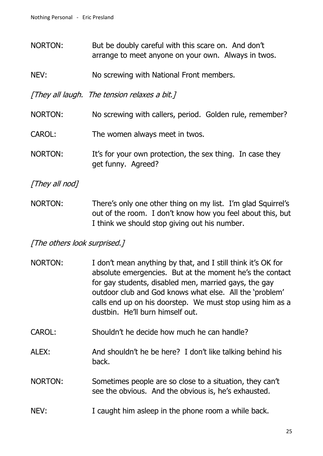- NORTON: But be doubly careful with this scare on. And don't arrange to meet anyone on your own. Always in twos.
- NEV: No screwing with National Front members.

[They all laugh. The tension relaxes a bit.]

- NORTON: No screwing with callers, period. Golden rule, remember?
- CAROL: The women always meet in twos.
- NORTON: It's for your own protection, the sex thing. In case they get funny. Agreed?

[They all nod]

NORTON: There's only one other thing on my list. I'm glad Squirrel's out of the room. I don't know how you feel about this, but I think we should stop giving out his number.

#### [The others look surprised.]

- NORTON: I don't mean anything by that, and I still think it's OK for absolute emergencies. But at the moment he's the contact for gay students, disabled men, married gays, the gay outdoor club and God knows what else. All the 'problem' calls end up on his doorstep. We must stop using him as a dustbin. He'll burn himself out.
- CAROL: Shouldn't he decide how much he can handle?
- ALEX: And shouldn't he be here? I don't like talking behind his back.
- NORTON: Sometimes people are so close to a situation, they can't see the obvious. And the obvious is, he's exhausted.
- NEV: I caught him asleep in the phone room a while back.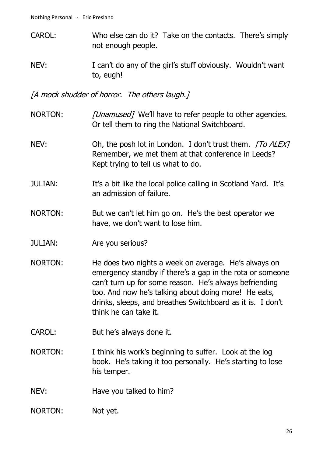- CAROL: Who else can do it? Take on the contacts. There's simply not enough people.
- NEV: I can't do any of the girl's stuff obviously. Wouldn't want to, eugh!

[A mock shudder of horror. The others laugh.]

- NORTON: [Unamused] We'll have to refer people to other agencies. Or tell them to ring the National Switchboard.
- NEV: Oh, the posh lot in London. I don't trust them. [To ALEX] Remember, we met them at that conference in Leeds? Kept trying to tell us what to do.
- JULIAN: It's a bit like the local police calling in Scotland Yard. It's an admission of failure.
- NORTON: But we can't let him go on. He's the best operator we have, we don't want to lose him.
- JULIAN: Are you serious?
- NORTON: He does two nights a week on average. He's always on emergency standby if there's a gap in the rota or someone can't turn up for some reason. He's always befriending too. And now he's talking about doing more! He eats, drinks, sleeps, and breathes Switchboard as it is. I don't think he can take it.
- CAROL: But he's always done it.
- NORTON: I think his work's beginning to suffer. Look at the log book. He's taking it too personally. He's starting to lose his temper.
- NEV: Have you talked to him?
- NORTON: Not yet.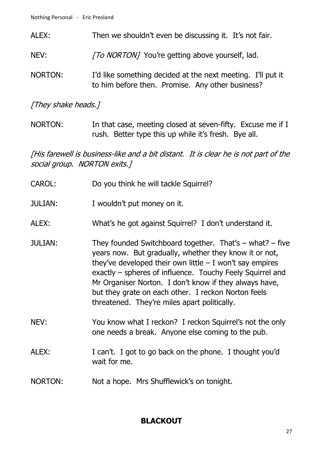- ALEX: Then we shouldn't even be discussing it. It's not fair.
- NEV: [To NORTON] You're getting above yourself, lad.
- NORTON: I'd like something decided at the next meeting. I'll put it to him before then. Promise. Any other business?

#### [They shake heads.]

NORTON: In that case, meeting closed at seven-fifty. Excuse me if I rush. Better type this up while it's fresh. Bye all.

[His farewell is business-like and a bit distant. It is clear he is not part of the social group. NORTON exits.]

| <b>CAROL:</b>  | Do you think he will tackle Squirrel?                                                                                                                                                                                                                                                                                                                                                                             |
|----------------|-------------------------------------------------------------------------------------------------------------------------------------------------------------------------------------------------------------------------------------------------------------------------------------------------------------------------------------------------------------------------------------------------------------------|
| <b>JULIAN:</b> | I wouldn't put money on it.                                                                                                                                                                                                                                                                                                                                                                                       |
| ALEX:          | What's he got against Squirrel? I don't understand it.                                                                                                                                                                                                                                                                                                                                                            |
| <b>JULIAN:</b> | They founded Switchboard together. That's $-$ what? $-$ five<br>years now. But gradually, whether they know it or not,<br>they've developed their own little $-1$ won't say empires<br>exactly – spheres of influence. Touchy Feely Squirrel and<br>Mr Organiser Norton. I don't know if they always have,<br>but they grate on each other. I reckon Norton feels<br>threatened. They're miles apart politically. |
| NEV:           | You know what I reckon? I reckon Squirrel's not the only<br>one needs a break. Anyone else coming to the pub.                                                                                                                                                                                                                                                                                                     |
| ALEX:          | I can't. I got to go back on the phone. I thought you'd<br>wait for me.                                                                                                                                                                                                                                                                                                                                           |
| <b>NORTON:</b> | Not a hope. Mrs Shufflewick's on tonight.                                                                                                                                                                                                                                                                                                                                                                         |

# **BLACKOUT**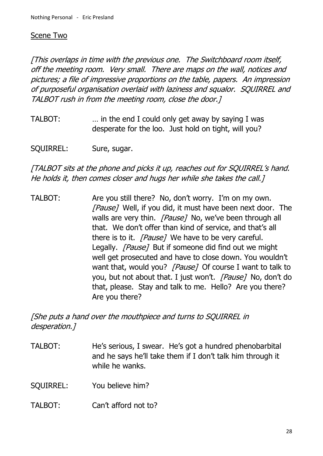#### Scene Two

[This overlaps in time with the previous one. The Switchboard room itself, off the meeting room. Very small. There are maps on the wall, notices and pictures; a file of impressive proportions on the table, papers. An impression of purposeful organisation overlaid with laziness and squalor. SQUIRREL and TALBOT rush in from the meeting room, close the door.]

TALBOT: … in the end I could only get away by saying I was desperate for the loo. Just hold on tight, will you?

SQUIRREL: Sure, sugar.

### [TALBOT sits at the phone and picks it up, reaches out for SQUIRREL's hand. He holds it, then comes closer and hugs her while she takes the call.]

TALBOT: Are you still there? No, don't worry. I'm on my own. [Pause] Well, if you did, it must have been next door. The walls are very thin. [Pause] No, we've been through all that. We don't offer than kind of service, and that's all there is to it. [Pause] We have to be very careful. Legally. [Pause] But if someone did find out we might well get prosecuted and have to close down. You wouldn't want that, would you? [Pause] Of course I want to talk to you, but not about that. I just won't. *[Pause]* No, don't do that, please. Stay and talk to me. Hello? Are you there? Are you there?

[She puts a hand over the mouthpiece and turns to SQUIRREL in desperation.]

- TALBOT: He's serious, I swear. He's got a hundred phenobarbital and he says he'll take them if I don't talk him through it while he wanks.
- SQUIRREL: You believe him?
- TALBOT: Can't afford not to?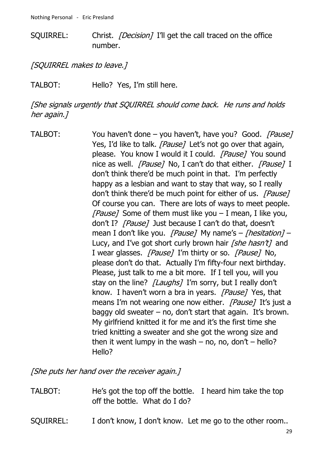SQUIRREL: Christ. *[Decision]* I'll get the call traced on the office number.

[SQUIRREL makes to leave.]

TALBOT: Hello? Yes, I'm still here.

[She signals urgently that SQUIRREL should come back. He runs and holds her again.]

TALBOT: You haven't done – you haven't, have you? Good. [Pause] Yes, I'd like to talk. [Pause] Let's not go over that again, please. You know I would it I could. [Pause] You sound nice as well. [Pause] No, I can't do that either. [Pause] I don't think there'd be much point in that. I'm perfectly happy as a lesbian and want to stay that way, so I really don't think there'd be much point for either of us. [Pause] Of course you can. There are lots of ways to meet people. [Pause] Some of them must like you  $-1$  mean, I like you, don't I? [Pause] Just because I can't do that, doesn't mean I don't like you. [Pause] My name's – [hesitation] – Lucy, and I've got short curly brown hair [she hasn't] and I wear glasses. [Pause] I'm thirty or so. [Pause] No, please don't do that. Actually I'm fifty-four next birthday. Please, just talk to me a bit more. If I tell you, will you stay on the line? *[Laughs]* I'm sorry, but I really don't know. I haven't worn a bra in years. [Pause] Yes, that means I'm not wearing one now either. [Pause] It's just a baggy old sweater – no, don't start that again. It's brown. My girlfriend knitted it for me and it's the first time she tried knitting a sweater and she got the wrong size and then it went lumpy in the wash – no, no, don't – hello? Hello?

[She puts her hand over the receiver again.]

- TALBOT: He's got the top off the bottle. I heard him take the top off the bottle. What do I do?
- SQUIRREL: I don't know, I don't know. Let me go to the other room..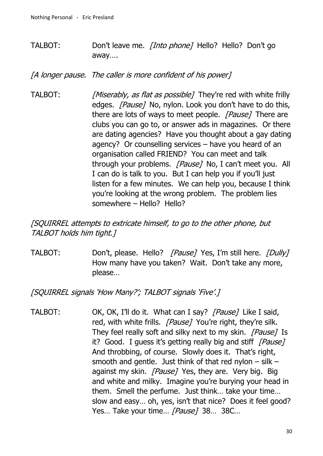TALBOT: Don't leave me. [Into phone] Hello? Hello? Don't go away….

[A longer pause. The caller is more confident of his power]

TALBOT: [Miserably, as flat as possible] They're red with white frilly edges. [Pause] No, nylon. Look you don't have to do this, there are lots of ways to meet people. [Pause] There are clubs you can go to, or answer ads in magazines. Or there are dating agencies? Have you thought about a gay dating agency? Or counselling services – have you heard of an organisation called FRIEND? You can meet and talk through your problems. [Pause] No, I can't meet you. All I can do is talk to you. But I can help you if you'll just listen for a few minutes. We can help you, because I think you're looking at the wrong problem. The problem lies somewhere – Hello? Hello?

[SQUIRREL attempts to extricate himself, to go to the other phone, but TALBOT holds him tight.]

TALBOT: Don't, please. Hello? [Pause] Yes, I'm still here. [Dully] How many have you taken? Wait. Don't take any more, please…

[SQUIRREL signals 'How Many?'; TALBOT signals 'Five'.]

TALBOT: OK, OK, I'll do it. What can I say? [Pause] Like I said, red, with white frills. [Pause] You're right, they're silk. They feel really soft and silky next to my skin. [Pause] Is it? Good. I guess it's getting really big and stiff  $[Pause]$ And throbbing, of course. Slowly does it. That's right, smooth and gentle. Just think of that red nylon  $-$  silk  $$ against my skin. *[Pause]* Yes, they are. Very big. Big and white and milky. Imagine you're burying your head in them. Smell the perfume. Just think… take your time… slow and easy… oh, yes, isn't that nice? Does it feel good? Yes... Take your time... [Pause] 38... 38C...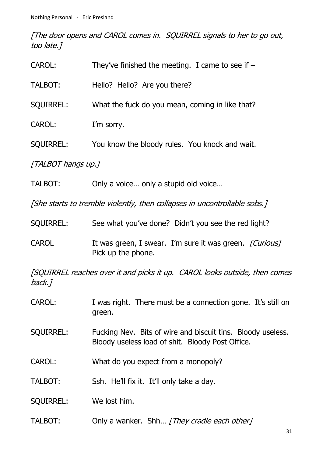[The door opens and CAROL comes in. SQUIRREL signals to her to go out, too late.]

| CAROL:                                                                               | They've finished the meeting. I came to see if $-$                                                              |
|--------------------------------------------------------------------------------------|-----------------------------------------------------------------------------------------------------------------|
| TALBOT:                                                                              | Hello? Hello? Are you there?                                                                                    |
| <b>SQUIRREL:</b>                                                                     | What the fuck do you mean, coming in like that?                                                                 |
| CAROL:                                                                               | I'm sorry.                                                                                                      |
| <b>SQUIRREL:</b>                                                                     | You know the bloody rules. You knock and wait.                                                                  |
| [TALBOT hangs up.]                                                                   |                                                                                                                 |
| TALBOT:                                                                              | Only a voice only a stupid old voice                                                                            |
| [She starts to tremble violently, then collapses in uncontrollable sobs.]            |                                                                                                                 |
| <b>SQUIRREL:</b>                                                                     | See what you've done? Didn't you see the red light?                                                             |
| <b>CAROL</b>                                                                         | It was green, I swear. I'm sure it was green. [Curious]<br>Pick up the phone.                                   |
| [SQUIRREL reaches over it and picks it up. CAROL looks outside, then comes<br>back.] |                                                                                                                 |
| CAROL:                                                                               | I was right. There must be a connection gone. It's still on<br>green.                                           |
| <b>SQUIRREL:</b>                                                                     | Fucking Nev. Bits of wire and biscuit tins. Bloody useless.<br>Bloody useless load of shit. Bloody Post Office. |
| <b>CAROL:</b>                                                                        | What do you expect from a monopoly?                                                                             |
| TALBOT:                                                                              | Ssh. He'll fix it. It'll only take a day.                                                                       |

SQUIRREL: We lost him.

TALBOT: Only a wanker. Shh... [They cradle each other]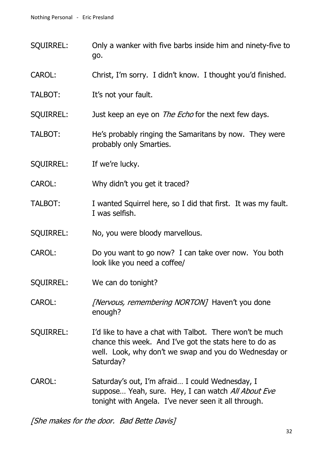- SQUIRREL: Only a wanker with five barbs inside him and ninety-five to go.
- CAROL: Christ, I'm sorry. I didn't know. I thought you'd finished.
- TALBOT: It's not your fault.
- SQUIRREL: Just keep an eye on *The Echo* for the next few days.
- TALBOT: He's probably ringing the Samaritans by now. They were probably only Smarties.
- SQUIRREL: If we're lucky.
- CAROL: Why didn't you get it traced?
- TALBOT: I wanted Squirrel here, so I did that first. It was my fault. I was selfish.
- SQUIRREL: No, you were bloody marvellous.
- CAROL: Do you want to go now? I can take over now. You both look like you need a coffee/
- SQUIRREL: We can do tonight?
- CAROL: [Nervous, remembering NORTON] Haven't you done enough?
- SQUIRREL: I'd like to have a chat with Talbot. There won't be much chance this week. And I've got the stats here to do as well. Look, why don't we swap and you do Wednesday or Saturday?
- CAROL: Saturday's out, I'm afraid… I could Wednesday, I suppose... Yeah, sure. Hey, I can watch All About Eve tonight with Angela. I've never seen it all through.

[She makes for the door. Bad Bette Davis]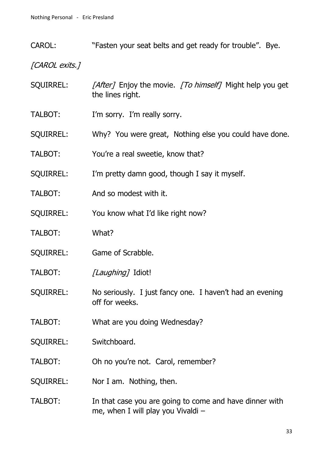CAROL: "Fasten your seat belts and get ready for trouble". Bye.

[CAROL exits.]

- SQUIRREL: [After] Enjoy the movie. [To himself] Might help you get the lines right.
- TALBOT: I'm sorry. I'm really sorry.
- SQUIRREL: Why? You were great, Nothing else you could have done.
- TALBOT: You're a real sweetie, know that?
- SQUIRREL: I'm pretty damn good, though I say it myself.
- TALBOT: And so modest with it.
- SQUIRREL: You know what I'd like right now?
- TALBOT: What?
- SQUIRREL: Game of Scrabble.
- TALBOT: [Laughing] Idiot!
- SQUIRREL: No seriously. I just fancy one. I haven't had an evening off for weeks.
- TALBOT: What are you doing Wednesday?
- SQUIRREL: Switchboard.
- TALBOT: Oh no you're not. Carol, remember?
- SQUIRREL: Nor I am. Nothing, then.
- TALBOT: In that case you are going to come and have dinner with me, when I will play you Vivaldi –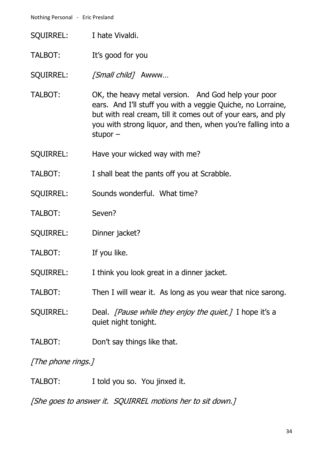- SQUIRREL: I hate Vivaldi.
- TALBOT: It's good for you

SQUIRREL: [Small child] Awww...

- TALBOT: OK, the heavy metal version. And God help your poor ears. And I'll stuff you with a veggie Quiche, no Lorraine, but with real cream, till it comes out of your ears, and ply you with strong liquor, and then, when you're falling into a stupor –
- SQUIRREL: Have your wicked way with me?
- TALBOT: I shall beat the pants off you at Scrabble.
- SQUIRREL: Sounds wonderful. What time?
- TALBOT: Seven?
- SQUIRREL: Dinner jacket?
- TALBOT: If you like.

SQUIRREL: I think you look great in a dinner jacket.

- TALBOT: Then I will wear it. As long as you wear that nice sarong.
- SQUIRREL: Deal. *[Pause while they enjoy the quiet.]* I hope it's a quiet night tonight.
- TALBOT: Don't say things like that.

[The phone rings.]

TALBOT: I told you so. You jinxed it.

[She goes to answer it. SQUIRREL motions her to sit down.]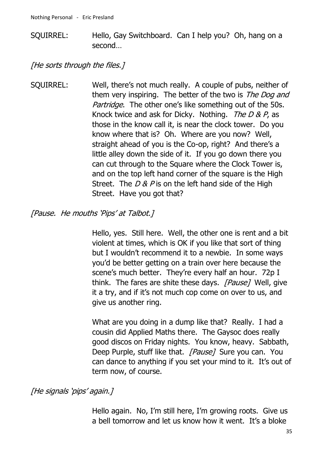SQUIRREL: Hello, Gay Switchboard. Can I help you? Oh, hang on a second…

[He sorts through the files.]

SQUIRREL: Well, there's not much really. A couple of pubs, neither of them very inspiring. The better of the two is *The Dog and* Partridge. The other one's like something out of the 50s. Knock twice and ask for Dicky. Nothing. The  $D & P$ , as those in the know call it, is near the clock tower. Do you know where that is? Oh. Where are you now? Well, straight ahead of you is the Co-op, right? And there's a little alley down the side of it. If you go down there you can cut through to the Square where the Clock Tower is, and on the top left hand corner of the square is the High Street. The  $D & P$  is on the left hand side of the High Street. Have you got that?

[Pause. He mouths 'Pips' at Talbot.]

Hello, yes. Still here. Well, the other one is rent and a bit violent at times, which is OK if you like that sort of thing but I wouldn't recommend it to a newbie. In some ways you'd be better getting on a train over here because the scene's much better. They're every half an hour. 72p I think. The fares are shite these days. [Pause] Well, give it a try, and if it's not much cop come on over to us, and give us another ring.

What are you doing in a dump like that? Really. I had a cousin did Applied Maths there. The Gaysoc does really good discos on Friday nights. You know, heavy. Sabbath, Deep Purple, stuff like that. [Pause] Sure you can. You can dance to anything if you set your mind to it. It's out of term now, of course.

#### [He signals 'pips' again.]

Hello again. No, I'm still here, I'm growing roots. Give us a bell tomorrow and let us know how it went. It's a bloke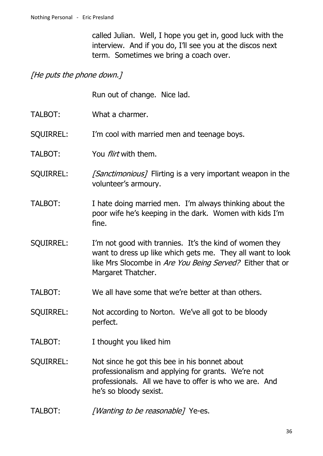called Julian. Well, I hope you get in, good luck with the interview. And if you do, I'll see you at the discos next term. Sometimes we bring a coach over.

#### [He puts the phone down.]

Run out of change. Nice lad.

- TALBOT: What a charmer.
- SQUIRREL: I'm cool with married men and teenage boys.
- TALBOT: You *flirt* with them.
- SQUIRREL: [Sanctimonious] Flirting is a very important weapon in the volunteer's armoury.
- TALBOT: I hate doing married men. I'm always thinking about the poor wife he's keeping in the dark. Women with kids I'm fine.
- SQUIRREL: I'm not good with trannies. It's the kind of women they want to dress up like which gets me. They all want to look like Mrs Slocombe in Are You Being Served? Either that or Margaret Thatcher.
- TALBOT: We all have some that we're better at than others.
- SQUIRREL: Not according to Norton. We've all got to be bloody perfect.
- TALBOT: I thought you liked him
- SQUIRREL: Not since he got this bee in his bonnet about professionalism and applying for grants. We're not professionals. All we have to offer is who we are. And he's so bloody sexist.
- TALBOT: *[Wanting to be reasonable]* Ye-es.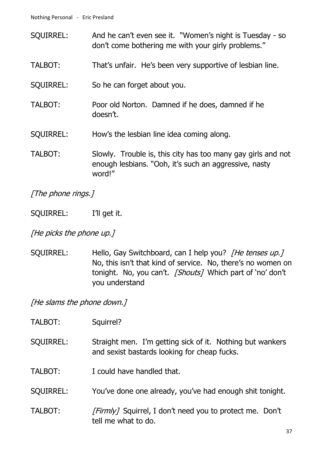- SQUIRREL: And he can't even see it. "Women's night is Tuesday so don't come bothering me with your girly problems."
- TALBOT: That's unfair. He's been very supportive of lesbian line.
- SQUIRREL: So he can forget about you.
- TALBOT: Poor old Norton. Damned if he does, damned if he doesn't.
- SQUIRREL: How's the lesbian line idea coming along.
- TALBOT: Slowly. Trouble is, this city has too many gay girls and not enough lesbians. "Ooh, it's such an aggressive, nasty word!"

[The phone rings.]

SQUIRREL: I'll get it.

[He picks the phone up.]

SQUIRREL: Hello, Gay Switchboard, can I help you? *[He tenses up.]* No, this isn't that kind of service. No, there's no women on tonight. No, you can't. [Shouts] Which part of 'no' don't you understand

[He slams the phone down.]

- TALBOT: Squirrel?
- SQUIRREL: Straight men. I'm getting sick of it. Nothing but wankers and sexist bastards looking for cheap fucks.

TALBOT: I could have handled that.

- SQUIRREL: You've done one already, you've had enough shit tonight.
- TALBOT: [Firmly] Squirrel, I don't need you to protect me. Don't tell me what to do.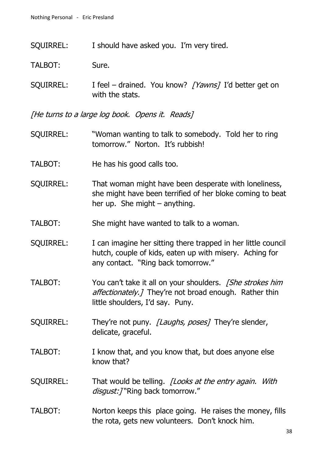SQUIRREL: I should have asked you. I'm very tired.

TALBOT: Sure.

SQUIRREL: I feel – drained. You know? [Yawns] I'd better get on with the stats.

[He turns to a large log book. Opens it. Reads]

- SQUIRREL: "Woman wanting to talk to somebody. Told her to ring tomorrow." Norton. It's rubbish!
- TALBOT: He has his good calls too.
- SQUIRREL: That woman might have been desperate with loneliness, she might have been terrified of her bloke coming to beat her up. She might – anything.
- TALBOT: She might have wanted to talk to a woman.
- SQUIRREL: I can imagine her sitting there trapped in her little council hutch, couple of kids, eaten up with misery. Aching for any contact. "Ring back tomorrow."
- TALBOT: You can't take it all on your shoulders. *[She strokes him*] affectionately.] They're not broad enough. Rather thin little shoulders, I'd say. Puny.
- SQUIRREL: They're not puny. [Laughs, poses] They're slender, delicate, graceful.
- TALBOT: I know that, and you know that, but does anyone else know that?
- SQUIRREL: That would be telling. *[Looks at the entry again. With* disgust: ] "Ring back tomorrow."
- TALBOT: Norton keeps this place going. He raises the money, fills the rota, gets new volunteers. Don't knock him.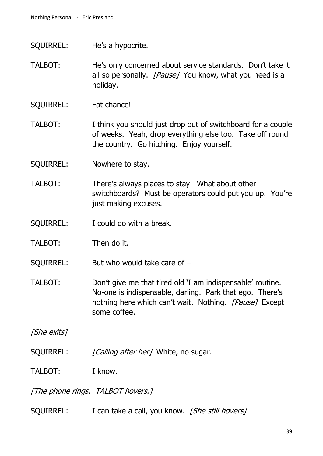- SQUIRREL: He's a hypocrite.
- TALBOT: He's only concerned about service standards. Don't take it all so personally. *[Pause]* You know, what you need is a holiday.
- SQUIRREL: Fat chance!
- TALBOT: I think you should just drop out of switchboard for a couple of weeks. Yeah, drop everything else too. Take off round the country. Go hitching. Enjoy yourself.
- SQUIRREL: Nowhere to stay.
- TALBOT: There's always places to stay. What about other switchboards? Must be operators could put you up. You're just making excuses.
- SQUIRREL: I could do with a break.
- TALBOT: Then do it.

SQUIRREL: But who would take care of –

TALBOT: Don't give me that tired old 'I am indispensable' routine. No-one is indispensable, darling. Park that ego. There's nothing here which can't wait. Nothing. [Pause] Except some coffee.

[She exits]

SQUIRREL: [Calling after her] White, no sugar.

TALBOT: I know.

[The phone rings. TALBOT hovers.]

SOUIRREL: I can take a call, you know. *[She still hovers]*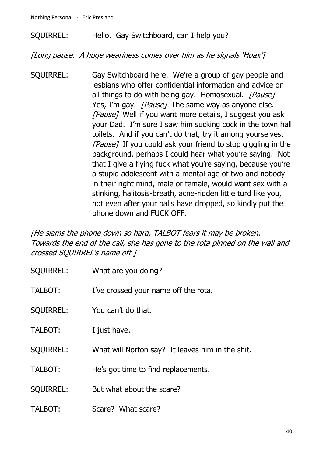#### SQUIRREL: Hello. Gay Switchboard, can I help you?

[Long pause. A huge weariness comes over him as he signals 'Hoax']

SQUIRREL: Gay Switchboard here. We're a group of gay people and lesbians who offer confidential information and advice on all things to do with being gay. Homosexual. *[Pause]* Yes, I'm gay. *[Pause]* The same way as anyone else. [Pause] Well if you want more details, I suggest you ask your Dad. I'm sure I saw him sucking cock in the town hall toilets. And if you can't do that, try it among yourselves. [Pause] If you could ask your friend to stop giggling in the background, perhaps I could hear what you're saying. Not that I give a flying fuck what you're saying, because you're a stupid adolescent with a mental age of two and nobody in their right mind, male or female, would want sex with a stinking, halitosis-breath, acne-ridden little turd like you, not even after your balls have dropped, so kindly put the phone down and FUCK OFF.

[He slams the phone down so hard, TALBOT fears it may be broken. Towards the end of the call, she has gone to the rota pinned on the wall and crossed SQUIRREL's name off.]

- SQUIRREL: What are you doing?
- TALBOT: I've crossed your name off the rota.
- SQUIRREL: You can't do that.
- TALBOT: I just have.
- SQUIRREL: What will Norton say? It leaves him in the shit.
- TALBOT: He's got time to find replacements.
- SOUIRREL: But what about the scare?
- TALBOT: Scare? What scare?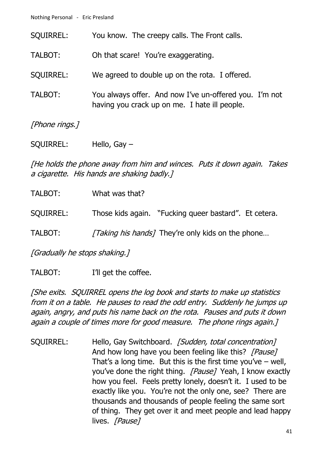Nothing Personal - Eric Presland

| <b>SQUIRREL:</b> | You know. The creepy calls. The Front calls.                                                            |
|------------------|---------------------------------------------------------------------------------------------------------|
| TALBOT:          | Oh that scare! You're exaggerating.                                                                     |
| <b>SQUIRREL:</b> | We agreed to double up on the rota. I offered.                                                          |
| TALBOT:          | You always offer. And now I've un-offered you. I'm not<br>having you crack up on me. I hate ill people. |
| [Phone rings.]   |                                                                                                         |

SQUIRREL: Hello, Gay –

[He holds the phone away from him and winces. Puts it down again. Takes a cigarette. His hands are shaking badly.]

| TALBOT:                            | What was that? |                                                          |
|------------------------------------|----------------|----------------------------------------------------------|
| SQUIRREL:                          |                | Those kids again. "Fucking queer bastard". Et cetera.    |
| TALBOT:                            |                | <i>Taking his hands</i> ] They're only kids on the phone |
| $I$ Crodually he stans shaking $I$ |                |                                                          |

[Gradually he stops shaking.]

TALBOT: I'll get the coffee.

[She exits. SQUIRREL opens the log book and starts to make up statistics from it on a table. He pauses to read the odd entry. Suddenly he jumps up again, angry, and puts his name back on the rota. Pauses and puts it down again a couple of times more for good measure. The phone rings again.]

SQUIRREL: Hello, Gay Switchboard. [Sudden, total concentration] And how long have you been feeling like this? [Pause] That's a long time. But this is the first time you've  $-$  well, you've done the right thing. [Pause] Yeah, I know exactly how you feel. Feels pretty lonely, doesn't it. I used to be exactly like you. You're not the only one, see? There are thousands and thousands of people feeling the same sort of thing. They get over it and meet people and lead happy lives. [Pause]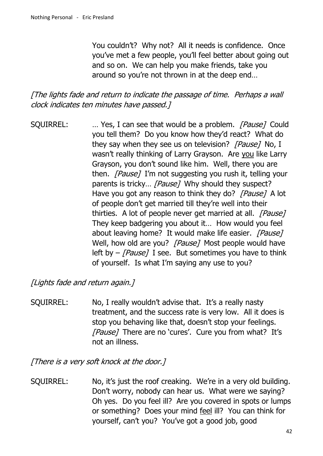You couldn't? Why not? All it needs is confidence. Once you've met a few people, you'll feel better about going out and so on. We can help you make friends, take you around so you're not thrown in at the deep end…

[The lights fade and return to indicate the passage of time. Perhaps a wall clock indicates ten minutes have passed.]

SQUIRREL: ... Yes, I can see that would be a problem. [Pause] Could you tell them? Do you know how they'd react? What do they say when they see us on television? [Pause] No, I wasn't really thinking of Larry Grayson. Are you like Larry Grayson, you don't sound like him. Well, there you are then. *[Pause]* I'm not suggesting you rush it, telling your parents is tricky... [Pause] Why should they suspect? Have you got any reason to think they do? [Pause] A lot of people don't get married till they're well into their thirties. A lot of people never get married at all. [Pause] They keep badgering you about it… How would you feel about leaving home? It would make life easier. [Pause] Well, how old are you? [Pause] Most people would have left by  $-$  [Pause] I see. But sometimes you have to think of yourself. Is what I'm saying any use to you?

[Lights fade and return again.]

SQUIRREL: No, I really wouldn't advise that. It's a really nasty treatment, and the success rate is very low. All it does is stop you behaving like that, doesn't stop your feelings. [Pause] There are no 'cures'. Cure you from what? It's not an illness.

[There is a very soft knock at the door.]

SQUIRREL: No, it's just the roof creaking. We're in a very old building. Don't worry, nobody can hear us. What were we saying? Oh yes. Do you feel ill? Are you covered in spots or lumps or something? Does your mind feel ill? You can think for yourself, can't you? You've got a good job, good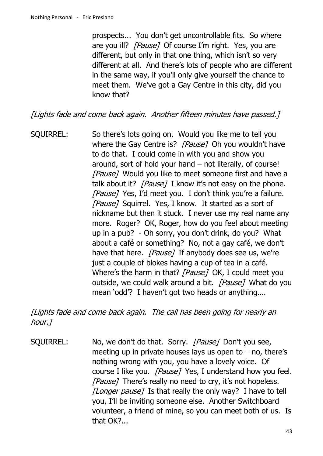prospects... You don't get uncontrollable fits. So where are you ill? [Pause] Of course I'm right. Yes, you are different, but only in that one thing, which isn't so very different at all. And there's lots of people who are different in the same way, if you'll only give yourself the chance to meet them. We've got a Gay Centre in this city, did you know that?

[Lights fade and come back again. Another fifteen minutes have passed.]

SQUIRREL: So there's lots going on. Would you like me to tell you where the Gay Centre is? [Pause] Oh you wouldn't have to do that. I could come in with you and show you around, sort of hold your hand – not literally, of course! [Pause] Would you like to meet someone first and have a talk about it? [Pause] I know it's not easy on the phone. [Pause] Yes, I'd meet you. I don't think you're a failure. [Pause] Squirrel. Yes, I know. It started as a sort of nickname but then it stuck. I never use my real name any more. Roger? OK, Roger, how do you feel about meeting up in a pub? - Oh sorry, you don't drink, do you? What about a café or something? No, not a gay café, we don't have that here. [Pause] If anybody does see us, we're just a couple of blokes having a cup of tea in a café. Where's the harm in that? [Pause] OK, I could meet you outside, we could walk around a bit. [Pause] What do you mean 'odd'? I haven't got two heads or anything….

[Lights fade and come back again. The call has been going for nearly an hour.]

SQUIRREL: No, we don't do that. Sorry. [Pause] Don't you see, meeting up in private houses lays us open to  $-$  no, there's nothing wrong with you, you have a lovely voice. Of course I like you. [Pause] Yes, I understand how you feel. [Pause] There's really no need to cry, it's not hopeless. [Longer pause] Is that really the only way? I have to tell you, I'll be inviting someone else. Another Switchboard volunteer, a friend of mine, so you can meet both of us. Is that OK?...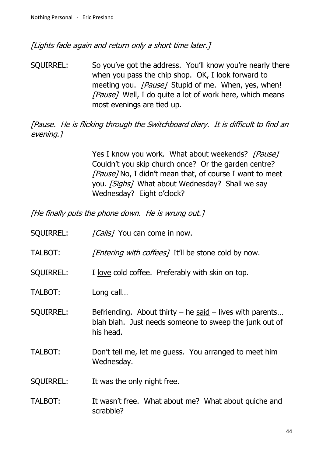[Lights fade again and return only a short time later.]

SQUIRREL: So you've got the address. You'll know you're nearly there when you pass the chip shop. OK, I look forward to meeting you. [Pause] Stupid of me. When, yes, when! [Pause] Well, I do quite a lot of work here, which means most evenings are tied up.

[Pause. He is flicking through the Switchboard diary. It is difficult to find an evening.]

> Yes I know you work. What about weekends? [Pause] Couldn't you skip church once? Or the garden centre? [Pause] No, I didn't mean that, of course I want to meet you. [Sighs] What about Wednesday? Shall we say Wednesday? Eight o'clock?

[He finally puts the phone down. He is wrung out.]

| <b>SQUIRREL:</b> | <i>[Calls]</i> You can come in now.                                                                                                 |
|------------------|-------------------------------------------------------------------------------------------------------------------------------------|
| TALBOT:          | <i>[Entering with coffees]</i> It'll be stone cold by now.                                                                          |
| <b>SQUIRREL:</b> | I love cold coffee. Preferably with skin on top.                                                                                    |
| TALBOT:          | Long call                                                                                                                           |
| <b>SQUIRREL:</b> | Befriending. About thirty $-$ he said $-$ lives with parents<br>blah blah. Just needs someone to sweep the junk out of<br>his head. |
| TALBOT:          | Don't tell me, let me guess. You arranged to meet him<br>Wednesday.                                                                 |
| <b>SQUIRREL:</b> | It was the only night free.                                                                                                         |
| TALBOT:          | It wasn't free. What about me? What about quiche and<br>scrabble?                                                                   |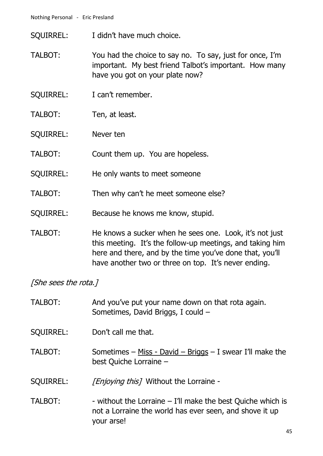- SQUIRREL: I didn't have much choice.
- TALBOT: You had the choice to say no. To say, just for once, I'm important. My best friend Talbot's important. How many have you got on your plate now?
- SQUIRREL: I can't remember.
- TALBOT: Ten, at least.
- SQUIRREL: Never ten
- TALBOT: Count them up. You are hopeless.
- SQUIRREL: He only wants to meet someone
- TALBOT: Then why can't he meet someone else?
- SQUIRREL: Because he knows me know, stupid.
- TALBOT: He knows a sucker when he sees one. Look, it's not just this meeting. It's the follow-up meetings, and taking him here and there, and by the time you've done that, you'll have another two or three on top. It's never ending.

[She sees the rota.]

| TALBOT:          | And you've put your name down on that rota again.<br>Sometimes, David Briggs, I could -                                                |
|------------------|----------------------------------------------------------------------------------------------------------------------------------------|
| <b>SQUIRREL:</b> | Don't call me that.                                                                                                                    |
| TALBOT:          | Sometimes - Miss - David - Briggs - I swear I'll make the<br>best Quiche Lorraine -                                                    |
| <b>SQUIRREL:</b> | <i>[Enjoying this]</i> Without the Lorraine -                                                                                          |
| TALBOT:          | - without the Lorraine $-$ I'll make the best Quiche which is<br>not a Lorraine the world has ever seen, and shove it up<br>your arse! |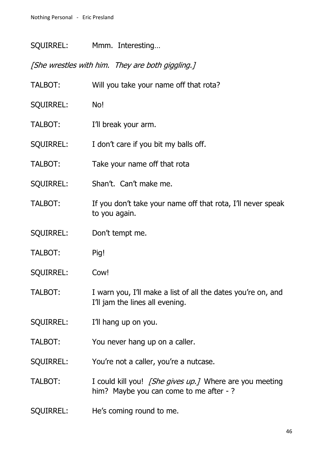SQUIRREL: Mmm. Interesting…

[She wrestles with him. They are both giggling.]

| TALBOT:          | Will you take your name off that rota?                                                            |
|------------------|---------------------------------------------------------------------------------------------------|
| <b>SQUIRREL:</b> | No!                                                                                               |
| TALBOT:          | I'll break your arm.                                                                              |
| <b>SQUIRREL:</b> | I don't care if you bit my balls off.                                                             |
| TALBOT:          | Take your name off that rota                                                                      |
| <b>SQUIRREL:</b> | Shan't. Can't make me.                                                                            |
| TALBOT:          | If you don't take your name off that rota, I'll never speak<br>to you again.                      |
| <b>SQUIRREL:</b> | Don't tempt me.                                                                                   |
| TALBOT:          | Pig!                                                                                              |
| <b>SQUIRREL:</b> | Cow!                                                                                              |
| TALBOT:          | I warn you, I'll make a list of all the dates you're on, and<br>I'll jam the lines all evening.   |
| <b>SQUIRREL:</b> | I'll hang up on you.                                                                              |
| TALBOT:          | You never hang up on a caller.                                                                    |
| <b>SQUIRREL:</b> | You're not a caller, you're a nutcase.                                                            |
| TALBOT:          | I could kill you! [She gives up.] Where are you meeting<br>him? Maybe you can come to me after -? |
| <b>SQUIRREL:</b> | He's coming round to me.                                                                          |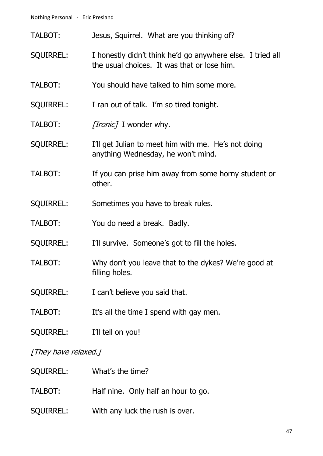- TALBOT: Jesus, Squirrel. What are you thinking of?
- SQUIRREL: I honestly didn't think he'd go anywhere else. I tried all the usual choices. It was that or lose him.
- TALBOT: You should have talked to him some more.
- SQUIRREL: I ran out of talk. I'm so tired tonight.
- TALBOT: [Ironic] I wonder why.
- SQUIRREL: I'll get Julian to meet him with me. He's not doing anything Wednesday, he won't mind.
- TALBOT: If you can prise him away from some horny student or other.
- SQUIRREL: Sometimes you have to break rules.
- TALBOT: You do need a break. Badly.
- SQUIRREL: I'll survive. Someone's got to fill the holes.
- TALBOT: Why don't you leave that to the dykes? We're good at filling holes.
- SQUIRREL: I can't believe you said that.
- TALBOT: It's all the time I spend with gay men.
- SQUIRREL: I'll tell on you!

#### [They have relaxed.]

| <b>SQUIRREL:</b> | What's the time?                    |
|------------------|-------------------------------------|
| TALBOT:          | Half nine. Only half an hour to go. |
| <b>SQUIRREL:</b> | With any luck the rush is over.     |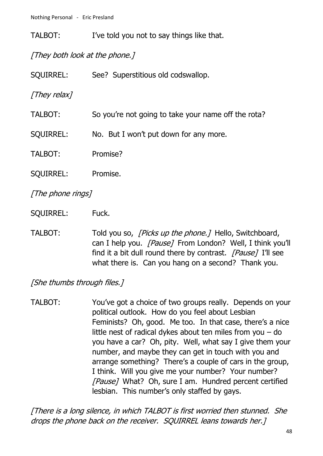TALBOT: I've told you not to say things like that.

[They both look at the phone.]

| <b>SQUIRREL:</b> | See? Superstitious old codswallop.                  |
|------------------|-----------------------------------------------------|
| [They relax]     |                                                     |
| TALBOT:          | So you're not going to take your name off the rota? |
| <b>SQUIRREL:</b> | No. But I won't put down for any more.              |
| TALBOT:          | Promise?                                            |
| <b>SQUIRREL:</b> | Promise.                                            |
|                  |                                                     |

[The phone rings]

SQUIRREL: Fuck.

TALBOT: Told you so, *[Picks up the phone.]* Hello, Switchboard, can I help you. [Pause] From London? Well, I think you'll find it a bit dull round there by contrast. [Pause] I'll see what there is. Can you hang on a second? Thank you.

[She thumbs through files.]

TALBOT: You've got a choice of two groups really. Depends on your political outlook. How do you feel about Lesbian Feminists? Oh, good. Me too. In that case, there's a nice little nest of radical dykes about ten miles from you – do you have a car? Oh, pity. Well, what say I give them your number, and maybe they can get in touch with you and arrange something? There's a couple of cars in the group, I think. Will you give me your number? Your number? [Pause] What? Oh, sure I am. Hundred percent certified lesbian. This number's only staffed by gays.

[There is a long silence, in which TALBOT is first worried then stunned. She drops the phone back on the receiver. SQUIRREL leans towards her.]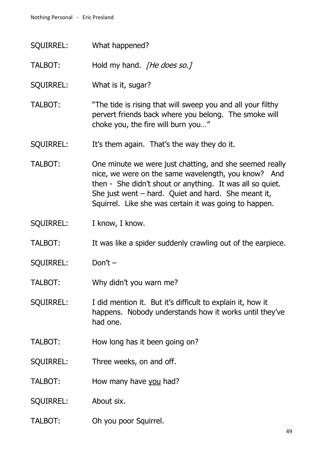| <b>SQUIRREL:</b> | What happened?                                                                                                                                                                                                                                                                                 |
|------------------|------------------------------------------------------------------------------------------------------------------------------------------------------------------------------------------------------------------------------------------------------------------------------------------------|
| TALBOT:          | Hold my hand. [He does so.]                                                                                                                                                                                                                                                                    |
| <b>SQUIRREL:</b> | What is it, sugar?                                                                                                                                                                                                                                                                             |
| TALBOT:          | "The tide is rising that will sweep you and all your filthy<br>pervert friends back where you belong. The smoke will<br>choke you, the fire will burn you"                                                                                                                                     |
| <b>SQUIRREL:</b> | It's them again. That's the way they do it.                                                                                                                                                                                                                                                    |
| <b>TALBOT:</b>   | One minute we were just chatting, and she seemed really<br>nice, we were on the same wavelength, you know? And<br>then - She didn't shout or anything. It was all so quiet.<br>She just went $-$ hard. Quiet and hard. She meant it,<br>Squirrel. Like she was certain it was going to happen. |
| <b>SQUIRREL:</b> | I know, I know.                                                                                                                                                                                                                                                                                |
| TALBOT:          | It was like a spider suddenly crawling out of the earpiece.                                                                                                                                                                                                                                    |
| <b>SQUIRREL:</b> | Don't $-$                                                                                                                                                                                                                                                                                      |
|                  |                                                                                                                                                                                                                                                                                                |
| TALBOT:          | Why didn't you warn me?                                                                                                                                                                                                                                                                        |
| <b>SQUIRREL:</b> | I did mention it. But it's difficult to explain it, how it<br>happens. Nobody understands how it works until they've<br>had one.                                                                                                                                                               |
| TALBOT:          | How long has it been going on?                                                                                                                                                                                                                                                                 |
| <b>SQUIRREL:</b> | Three weeks, on and off.                                                                                                                                                                                                                                                                       |
| TALBOT:          | How many have you had?                                                                                                                                                                                                                                                                         |
| <b>SQUIRREL:</b> | About six.                                                                                                                                                                                                                                                                                     |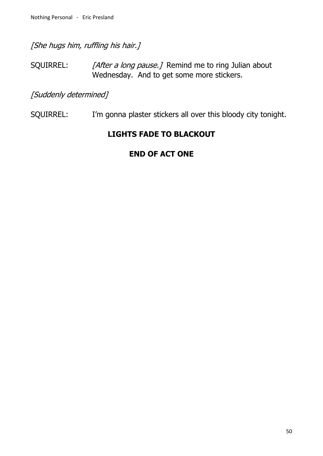[She hugs him, ruffling his hair.]

SQUIRREL: [After a long pause.] Remind me to ring Julian about Wednesday. And to get some more stickers.

[Suddenly determined]

SQUIRREL: I'm gonna plaster stickers all over this bloody city tonight.

## **LIGHTS FADE TO BLACKOUT**

## **END OF ACT ONE**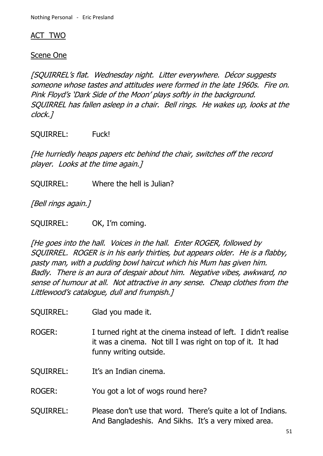### ACT TWO

### Scene One

[SQUIRREL's flat. Wednesday night. Litter everywhere. Décor suggests someone whose tastes and attitudes were formed in the late 1960s. Fire on. Pink Floyd's 'Dark Side of the Moon' plays softly in the background. SQUIRREL has fallen asleep in a chair. Bell rings. He wakes up, looks at the clock.]

SQUIRREL: Fuck!

[He hurriedly heaps papers etc behind the chair, switches off the record player. Looks at the time again.]

SQUIRREL: Where the hell is Julian?

[Bell rings again.]

SQUIRREL: OK, I'm coming.

[He goes into the hall. Voices in the hall. Enter ROGER, followed by SQUIRREL. ROGER is in his early thirties, but appears older. He is a flabby, pasty man, with a pudding bowl haircut which his Mum has given him. Badly. There is an aura of despair about him. Negative vibes, awkward, no sense of humour at all. Not attractive in any sense. Cheap clothes from the Littlewood's catalogue, dull and frumpish.]

SQUIRREL: Glad you made it.

ROGER: I turned right at the cinema instead of left. I didn't realise it was a cinema. Not till I was right on top of it. It had funny writing outside.

SQUIRREL: It's an Indian cinema.

ROGER: You got a lot of wogs round here?

SQUIRREL: Please don't use that word. There's quite a lot of Indians. And Bangladeshis. And Sikhs. It's a very mixed area.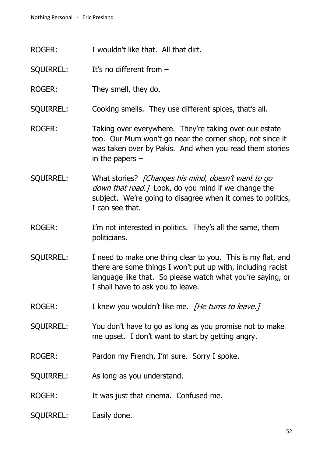- ROGER: I wouldn't like that. All that dirt.
- SQUIRREL: It's no different from –
- ROGER: They smell, they do.
- SQUIRREL: Cooking smells. They use different spices, that's all.
- ROGER: Taking over everywhere. They're taking over our estate too. Our Mum won't go near the corner shop, not since it was taken over by Pakis. And when you read them stories in the papers –
- SQUIRREL: What stories? [Changes his mind, doesn't want to go down that road.] Look, do you mind if we change the subject. We're going to disagree when it comes to politics, I can see that.
- ROGER: I'm not interested in politics. They's all the same, them politicians.
- SQUIRREL: I need to make one thing clear to you. This is my flat, and there are some things I won't put up with, including racist language like that. So please watch what you're saying, or I shall have to ask you to leave.
- ROGER: I knew you wouldn't like me. *[He turns to leave.]*
- SQUIRREL: You don't have to go as long as you promise not to make me upset. I don't want to start by getting angry.
- ROGER: Pardon my French, I'm sure. Sorry I spoke.
- SQUIRREL: As long as you understand.
- ROGER: It was just that cinema. Confused me.
- SQUIRREL: Easily done.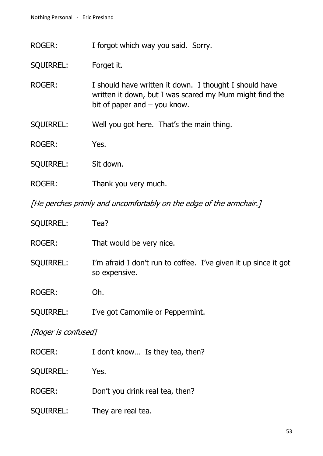ROGER: I forgot which way you said. Sorry.

SQUIRREL: Forget it.

- ROGER: I should have written it down. I thought I should have written it down, but I was scared my Mum might find the bit of paper and – you know.
- SQUIRREL: Well you got here. That's the main thing.
- ROGER: Yes.
- SQUIRREL: Sit down.
- ROGER: Thank you very much.

[He perches primly and uncomfortably on the edge of the armchair.]

| <b>SQUIRREL:</b>    | Tea?                                                                             |  |
|---------------------|----------------------------------------------------------------------------------|--|
| ROGER:              | That would be very nice.                                                         |  |
| <b>SQUIRREL:</b>    | I'm afraid I don't run to coffee. I've given it up since it got<br>so expensive. |  |
| <b>ROGER:</b>       | Oh.                                                                              |  |
| <b>SQUIRREL:</b>    | I've got Camomile or Peppermint.                                                 |  |
| [Roger is confused] |                                                                                  |  |
| ROGER:              | I don't know Is they tea, then?                                                  |  |
| <b>SQUIRREL:</b>    | Yes.                                                                             |  |
| <b>ROGER:</b>       | Don't you drink real tea, then?                                                  |  |
| SQUIRREL:           | They are real tea.                                                               |  |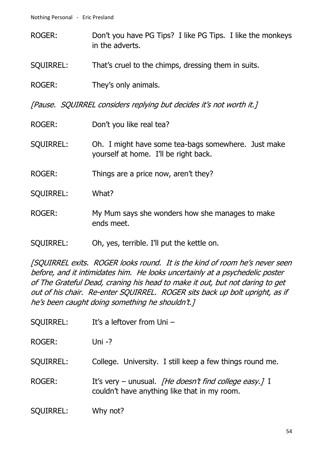- ROGER: Don't you have PG Tips? I like PG Tips. I like the monkeys in the adverts.
- SQUIRREL: That's cruel to the chimps, dressing them in suits.
- ROGER: They's only animals.

[Pause. SQUIRREL considers replying but decides it's not worth it.]

- ROGER: Don't you like real tea?
- SQUIRREL: Oh. I might have some tea-bags somewhere. Just make yourself at home. I'll be right back.
- ROGER: Things are a price now, aren't they?
- SQUIRREL: What?
- ROGER: My Mum says she wonders how she manages to make ends meet.
- SQUIRREL: Oh, yes, terrible. I'll put the kettle on.

[SQUIRREL exits. ROGER looks round. It is the kind of room he's never seen before, and it intimidates him. He looks uncertainly at a psychedelic poster of The Grateful Dead, craning his head to make it out, but not daring to get out of his chair. Re-enter SQUIRREL. ROGER sits back up bolt upright, as if he's been caught doing something he shouldn't.]

- SQUIRREL: It's a leftover from Uni –
- ROGER: Uni -?
- SQUIRREL: College. University. I still keep a few things round me.
- ROGER: It's very unusual. *[He doesn't find college easy.]* I couldn't have anything like that in my room.

SQUIRREL: Why not?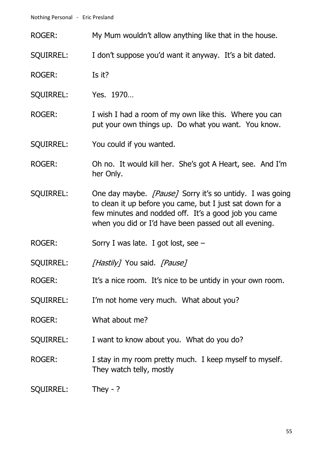- ROGER: My Mum wouldn't allow anything like that in the house.
- SQUIRREL: I don't suppose you'd want it anyway. It's a bit dated.
- ROGER: Is it?
- SQUIRREL: Yes. 1970…
- ROGER: I wish I had a room of my own like this. Where you can put your own things up. Do what you want. You know.
- SQUIRREL: You could if you wanted.
- ROGER: Oh no. It would kill her. She's got A Heart, see. And I'm her Only.
- SQUIRREL: One day maybe. *[Pause]* Sorry it's so untidy. I was going to clean it up before you came, but I just sat down for a few minutes and nodded off. It's a good job you came when you did or I'd have been passed out all evening.
- ROGER: Sorry I was late. I got lost, see –
- SQUIRREL: [Hastily] You said. [Pause]
- ROGER: It's a nice room. It's nice to be untidy in your own room.
- SQUIRREL: I'm not home very much. What about you?
- ROGER: What about me?
- SQUIRREL: I want to know about you. What do you do?
- ROGER: I stay in my room pretty much. I keep myself to myself. They watch telly, mostly
- SQUIRREL: They ?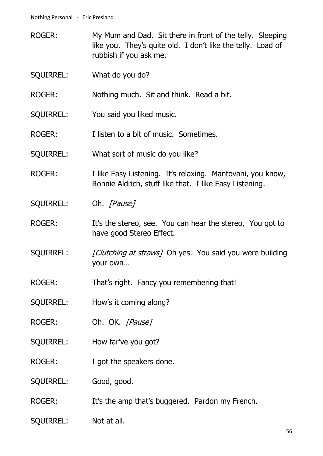- ROGER: My Mum and Dad. Sit there in front of the telly. Sleeping like you. They's quite old. I don't like the telly. Load of rubbish if you ask me.
- SQUIRREL: What do you do?
- ROGER: Nothing much. Sit and think. Read a bit.
- SQUIRREL: You said you liked music.
- ROGER: I listen to a bit of music. Sometimes.
- SQUIRREL: What sort of music do you like?
- ROGER: I like Easy Listening. It's relaxing. Mantovani, you know, Ronnie Aldrich, stuff like that. I like Easy Listening.
- SQUIRREL: Oh. [Pause]
- ROGER: It's the stereo, see. You can hear the stereo, You got to have good Stereo Effect.
- SQUIRREL: [Clutching at straws] Oh yes. You said you were building your own…
- ROGER: That's right. Fancy you remembering that!
- SQUIRREL: How's it coming along?
- ROGER: Oh. OK. [Pause]
- SQUIRREL: How far've you got?
- ROGER: I got the speakers done.
- SQUIRREL: Good, good.
- ROGER: It's the amp that's buggered. Pardon my French.
- SQUIRREL: Not at all.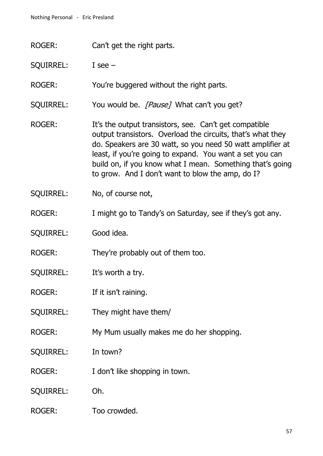ROGER: Can't get the right parts.

SQUIRREL: I see –

ROGER: You're buggered without the right parts.

SQUIRREL: You would be. [Pause] What can't you get?

- ROGER: It's the output transistors, see. Can't get compatible output transistors. Overload the circuits, that's what they do. Speakers are 30 watt, so you need 50 watt amplifier at least, if you're going to expand. You want a set you can build on, if you know what I mean. Something that's going to grow. And I don't want to blow the amp, do I?
- SQUIRREL: No, of course not,
- ROGER: I might go to Tandy's on Saturday, see if they's got any.
- SQUIRREL: Good idea.
- ROGER: They're probably out of them too.
- SQUIRREL: It's worth a try.
- ROGER: If it isn't raining.
- SQUIRREL: They might have them/
- ROGER: My Mum usually makes me do her shopping.
- SQUIRREL: In town?
- ROGER: I don't like shopping in town.
- SQUIRREL: Oh.
- ROGER: Too crowded.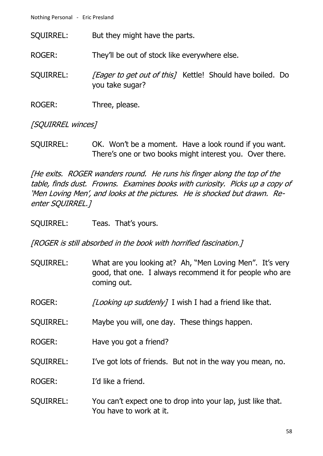Nothing Personal - Eric Presland

SQUIRREL: But they might have the parts.

ROGER: They'll be out of stock like everywhere else.

SQUIRREL: [Eager to get out of this] Kettle! Should have boiled. Do you take sugar?

ROGER: Three, please.

[SOUIRREL winces]

SQUIRREL: OK. Won't be a moment. Have a look round if you want. There's one or two books might interest you. Over there.

[He exits. ROGER wanders round. He runs his finger along the top of the table, finds dust. Frowns. Examines books with curiosity. Picks up a copy of 'Men Loving Men', and looks at the pictures. He is shocked but drawn. Reenter SQUIRREL.]

SQUIRREL: Teas. That's yours.

[ROGER is still absorbed in the book with horrified fascination.]

- SQUIRREL: What are you looking at? Ah, "Men Loving Men". It's very good, that one. I always recommend it for people who are coming out.
- ROGER: [Looking up suddenly] I wish I had a friend like that.
- SQUIRREL: Maybe you will, one day. These things happen.
- ROGER: Have you got a friend?
- SQUIRREL: I've got lots of friends. But not in the way you mean, no.

ROGER: I'd like a friend.

SQUIRREL: You can't expect one to drop into your lap, just like that. You have to work at it.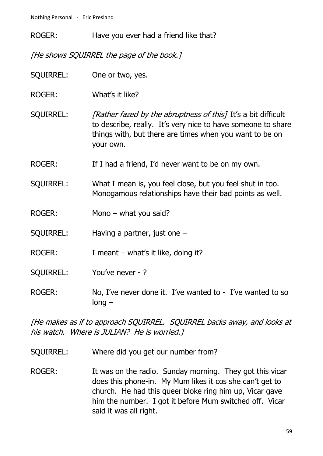ROGER: Have you ever had a friend like that?

[He shows SQUIRREL the page of the book.]

SQUIRREL: One or two, yes.

ROGER: What's it like?

SQUIRREL: [Rather fazed by the abruptness of this] It's a bit difficult to describe, really. It's very nice to have someone to share things with, but there are times when you want to be on your own.

ROGER: If I had a friend, I'd never want to be on my own.

SQUIRREL: What I mean is, you feel close, but you feel shut in too. Monogamous relationships have their bad points as well.

ROGER: Mono – what you said?

SQUIRREL: Having a partner, just one –

ROGER: I meant – what's it like, doing it?

SQUIRREL: You've never - ?

ROGER: No, I've never done it. I've wanted to - I've wanted to so long –

[He makes as if to approach SQUIRREL. SQUIRREL backs away, and looks at his watch. Where is JULIAN? He is worried.]

SQUIRREL: Where did you get our number from?

ROGER: It was on the radio. Sunday morning. They got this vicar does this phone-in. My Mum likes it cos she can't get to church. He had this queer bloke ring him up, Vicar gave him the number. I got it before Mum switched off. Vicar said it was all right.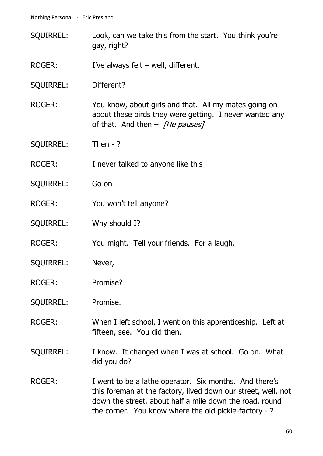- SQUIRREL: Look, can we take this from the start. You think you're gay, right?
- ROGER: I've always felt well, different.
- SQUIRREL: Different?
- ROGER: You know, about girls and that. All my mates going on about these birds they were getting. I never wanted any of that. And then  $-$  [He pauses]
- SQUIRREL: Then ?
- ROGER: I never talked to anyone like this -
- SQUIRREL: Go on –
- ROGER: You won't tell anyone?
- SQUIRREL: Why should I?
- ROGER: You might. Tell your friends. For a laugh.
- SQUIRREL: Never,
- ROGER: Promise?
- SQUIRREL: Promise.
- ROGER: When I left school, I went on this apprenticeship. Left at fifteen, see. You did then.
- SQUIRREL: I know. It changed when I was at school. Go on. What did you do?
- ROGER: I went to be a lathe operator. Six months. And there's this foreman at the factory, lived down our street, well, not down the street, about half a mile down the road, round the corner. You know where the old pickle-factory - ?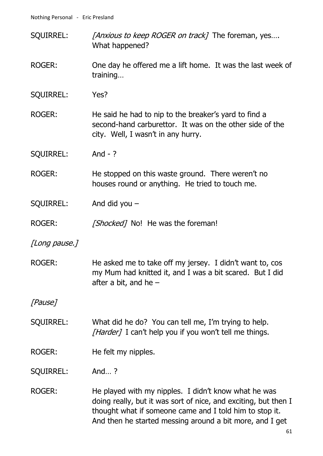- SQUIRREL: [Anxious to keep ROGER on track] The foreman, yes.... What happened?
- ROGER: One day he offered me a lift home. It was the last week of training…
- SQUIRREL: Yes?
- ROGER: He said he had to nip to the breaker's yard to find a second-hand carburettor. It was on the other side of the city. Well, I wasn't in any hurry.
- SQUIRREL: And ?
- ROGER: He stopped on this waste ground. There weren't no houses round or anything. He tried to touch me.
- SQUIRREL: And did you –
- ROGER: [Shocked] No! He was the foreman!
- [Long pause.]
- ROGER: He asked me to take off my jersey. I didn't want to, cos my Mum had knitted it, and I was a bit scared. But I did after a bit, and he –

[Pause]

- SQUIRREL: What did he do? You can tell me, I'm trying to help. [Harder] I can't help you if you won't tell me things.
- ROGER: He felt my nipples.

SQUIRREL: And… ?

ROGER: He played with my nipples. I didn't know what he was doing really, but it was sort of nice, and exciting, but then I thought what if someone came and I told him to stop it. And then he started messing around a bit more, and I get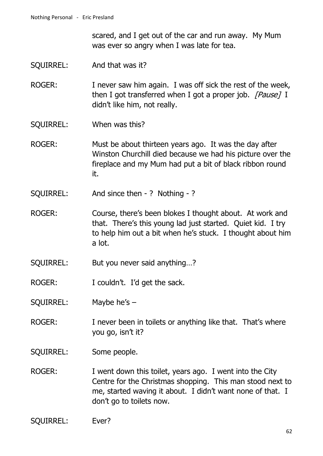scared, and I get out of the car and run away. My Mum was ever so angry when I was late for tea.

- SQUIRREL: And that was it?
- ROGER: I never saw him again. I was off sick the rest of the week, then I got transferred when I got a proper job.  $[Pause]$  I didn't like him, not really.
- SQUIRREL: When was this?
- ROGER: Must be about thirteen years ago. It was the day after Winston Churchill died because we had his picture over the fireplace and my Mum had put a bit of black ribbon round it.
- SQUIRREL: And since then ? Nothing ?
- ROGER: Course, there's been blokes I thought about. At work and that. There's this young lad just started. Quiet kid. I try to help him out a bit when he's stuck. I thought about him a lot.
- SQUIRREL: But you never said anything…?
- ROGER: I couldn't. I'd get the sack.
- SQUIRREL: Maybe he's –
- ROGER: I never been in toilets or anything like that. That's where you go, isn't it?
- SQUIRREL: Some people.
- ROGER: I went down this toilet, years ago. I went into the City Centre for the Christmas shopping. This man stood next to me, started waving it about. I didn't want none of that. I don't go to toilets now.
- SQUIRREL: Ever?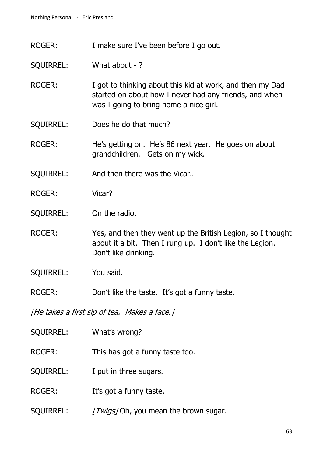ROGER: I make sure I've been before I go out.

SQUIRREL: What about - ?

- ROGER: I got to thinking about this kid at work, and then my Dad started on about how I never had any friends, and when was I going to bring home a nice girl.
- SQUIRREL: Does he do that much?

ROGER: He's getting on. He's 86 next year. He goes on about grandchildren. Gets on my wick.

SQUIRREL: And then there was the Vicar…

- ROGER: Vicar?
- SQUIRREL: On the radio.
- ROGER: Yes, and then they went up the British Legion, so I thought about it a bit. Then I rung up. I don't like the Legion. Don't like drinking.
- SQUIRREL: You said.
- ROGER: Don't like the taste. It's got a funny taste.

[He takes a first sip of tea. Makes a face.]

- SQUIRREL: What's wrong?
- ROGER: This has got a funny taste too.
- SQUIRREL: I put in three sugars.
- ROGER: It's got a funny taste.
- SOUIRREL: *[Twigs]* Oh, you mean the brown sugar.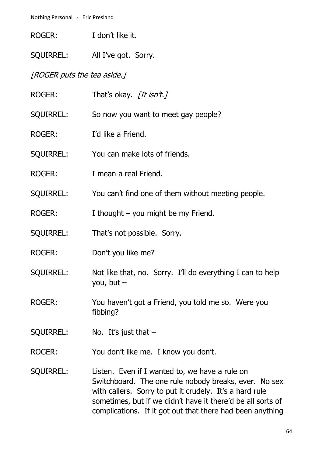| ROGER: | I don't like it. |
|--------|------------------|

SQUIRREL: All I've got. Sorry.

## [ROGER puts the tea aside.]

| ROGER:           | That's okay. [It isn't.]                                                                                                                                                                                                                                                                       |
|------------------|------------------------------------------------------------------------------------------------------------------------------------------------------------------------------------------------------------------------------------------------------------------------------------------------|
| SQUIRREL:        | So now you want to meet gay people?                                                                                                                                                                                                                                                            |
| <b>ROGER:</b>    | I'd like a Friend.                                                                                                                                                                                                                                                                             |
| <b>SQUIRREL:</b> | You can make lots of friends.                                                                                                                                                                                                                                                                  |
| ROGER:           | I mean a real Friend.                                                                                                                                                                                                                                                                          |
| <b>SQUIRREL:</b> | You can't find one of them without meeting people.                                                                                                                                                                                                                                             |
| <b>ROGER:</b>    | I thought $-$ you might be my Friend.                                                                                                                                                                                                                                                          |
| <b>SQUIRREL:</b> | That's not possible. Sorry.                                                                                                                                                                                                                                                                    |
| <b>ROGER:</b>    | Don't you like me?                                                                                                                                                                                                                                                                             |
| <b>SQUIRREL:</b> | Not like that, no. Sorry. I'll do everything I can to help<br>you, but $-$                                                                                                                                                                                                                     |
| ROGER:           | You haven't got a Friend, you told me so. Were you<br>fibbing?                                                                                                                                                                                                                                 |
| <b>SQUIRREL:</b> | No. It's just that $-$                                                                                                                                                                                                                                                                         |
| <b>ROGER:</b>    | You don't like me. I know you don't.                                                                                                                                                                                                                                                           |
| <b>SQUIRREL:</b> | Listen. Even if I wanted to, we have a rule on<br>Switchboard. The one rule nobody breaks, ever. No sex<br>with callers. Sorry to put it crudely. It's a hard rule<br>sometimes, but if we didn't have it there'd be all sorts of<br>complications. If it got out that there had been anything |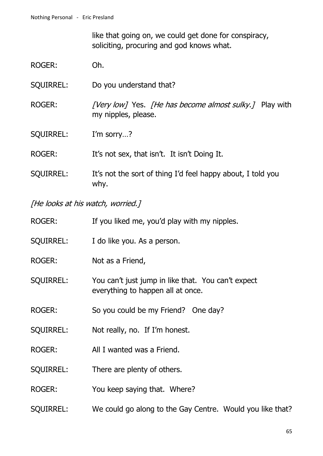like that going on, we could get done for conspiracy, soliciting, procuring and god knows what.

- ROGER: Oh.
- SQUIRREL: Do you understand that?
- ROGER: [Very low] Yes. [He has become almost sulky.] Play with my nipples, please.
- SQUIRREL: I'm sorry...?

ROGER: It's not sex, that isn't. It isn't Doing It.

SQUIRREL: It's not the sort of thing I'd feel happy about, I told you why.

[He looks at his watch, worried.]

| <b>ROGER:</b>    | If you liked me, you'd play with my nipples.                                            |
|------------------|-----------------------------------------------------------------------------------------|
| <b>SQUIRREL:</b> | I do like you. As a person.                                                             |
| <b>ROGER:</b>    | Not as a Friend,                                                                        |
| <b>SQUIRREL:</b> | You can't just jump in like that. You can't expect<br>everything to happen all at once. |
| <b>ROGER:</b>    | So you could be my Friend? One day?                                                     |
| <b>SQUIRREL:</b> | Not really, no. If I'm honest.                                                          |
| <b>ROGER:</b>    | All I wanted was a Friend.                                                              |
| <b>SQUIRREL:</b> | There are plenty of others.                                                             |
| <b>ROGER:</b>    | You keep saying that. Where?                                                            |
| <b>SQUIRREL:</b> | We could go along to the Gay Centre. Would you like that?                               |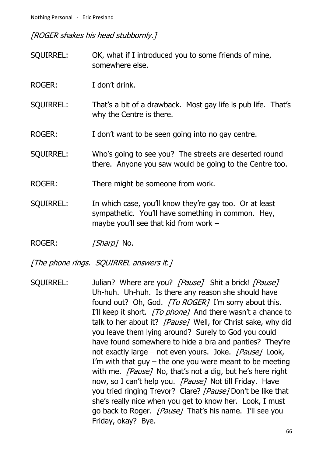[ROGER shakes his head stubbornly.]

| <b>SQUIRREL:</b> | OK, what if I introduced you to some friends of mine,<br>somewhere else.                                                                                 |
|------------------|----------------------------------------------------------------------------------------------------------------------------------------------------------|
| ROGER:           | I don't drink.                                                                                                                                           |
| <b>SQUIRREL:</b> | That's a bit of a drawback. Most gay life is pub life. That's<br>why the Centre is there.                                                                |
| <b>ROGER:</b>    | I don't want to be seen going into no gay centre.                                                                                                        |
| <b>SQUIRREL:</b> | Who's going to see you? The streets are deserted round<br>there. Anyone you saw would be going to the Centre too.                                        |
| <b>ROGER:</b>    | There might be someone from work.                                                                                                                        |
| <b>SQUIRREL:</b> | In which case, you'll know they're gay too. Or at least<br>sympathetic. You'll have something in common. Hey,<br>maybe you'll see that kid from work $-$ |

ROGER: [Sharp] No.

[The phone rings. SQUIRREL answers it.]

SQUIRREL: Julian? Where are you? [Pause] Shit a brick! [Pause] Uh-huh. Uh-huh. Is there any reason she should have found out? Oh, God. [To ROGER] I'm sorry about this. I'll keep it short. [To phone] And there wasn't a chance to talk to her about it? [Pause] Well, for Christ sake, why did you leave them lying around? Surely to God you could have found somewhere to hide a bra and panties? They're not exactly large – not even yours. Joke.  $[Pause]$  Look, I'm with that guy  $-$  the one you were meant to be meeting with me. *[Pause]* No, that's not a dig, but he's here right now, so I can't help you. [Pause] Not till Friday. Have you tried ringing Trevor? Clare? [Pause] Don't be like that she's really nice when you get to know her. Look, I must go back to Roger. *[Pause]* That's his name. I'll see you Friday, okay? Bye.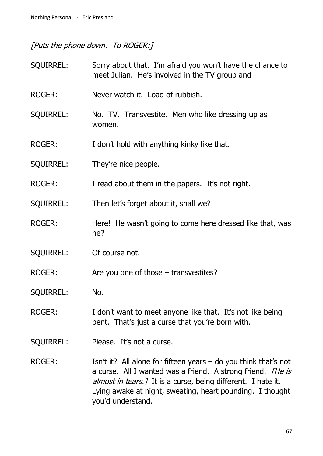# [Puts the phone down. To ROGER:]

| <b>SQUIRREL:</b> | Sorry about that. I'm afraid you won't have the chance to<br>meet Julian. He's involved in the TV group and $-$                                                                                                                                                      |
|------------------|----------------------------------------------------------------------------------------------------------------------------------------------------------------------------------------------------------------------------------------------------------------------|
| ROGER:           | Never watch it. Load of rubbish.                                                                                                                                                                                                                                     |
| <b>SQUIRREL:</b> | No. TV. Transvestite. Men who like dressing up as<br>women.                                                                                                                                                                                                          |
| <b>ROGER:</b>    | I don't hold with anything kinky like that.                                                                                                                                                                                                                          |
| <b>SQUIRREL:</b> | They're nice people.                                                                                                                                                                                                                                                 |
| ROGER:           | I read about them in the papers. It's not right.                                                                                                                                                                                                                     |
| <b>SQUIRREL:</b> | Then let's forget about it, shall we?                                                                                                                                                                                                                                |
| ROGER:           | Here! He wasn't going to come here dressed like that, was<br>he?                                                                                                                                                                                                     |
| <b>SQUIRREL:</b> | Of course not.                                                                                                                                                                                                                                                       |
| <b>ROGER:</b>    | Are you one of those $-$ transvestites?                                                                                                                                                                                                                              |
| <b>SQUIRREL:</b> | No.                                                                                                                                                                                                                                                                  |
| <b>ROGER:</b>    | I don't want to meet anyone like that. It's not like being<br>bent. That's just a curse that you're born with.                                                                                                                                                       |
| <b>SQUIRREL:</b> | Please. It's not a curse.                                                                                                                                                                                                                                            |
| <b>ROGER:</b>    | Isn't it? All alone for fifteen years $-$ do you think that's not<br>a curse. All I wanted was a friend. A strong friend. [He is<br><i>almost in tears.]</i> It is a curse, being different. I hate it.<br>Lying awake at night, sweating, heart pounding. I thought |

you'd understand.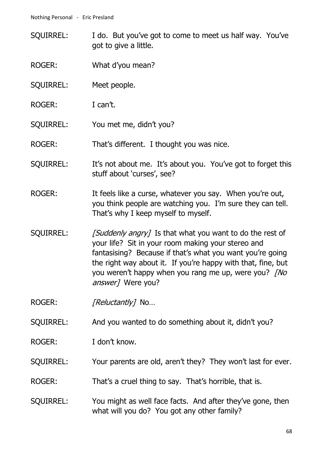- SQUIRREL: I do. But you've got to come to meet us half way. You've got to give a little.
- ROGER: What d'you mean?
- SQUIRREL: Meet people.
- ROGER: I can't.
- SQUIRREL: You met me, didn't you?

ROGER: That's different. I thought you was nice.

- SQUIRREL: It's not about me. It's about you. You've got to forget this stuff about 'curses', see?
- ROGER: It feels like a curse, whatever you say. When you're out, you think people are watching you. I'm sure they can tell. That's why I keep myself to myself.
- SQUIRREL: [Suddenly angry] Is that what you want to do the rest of your life? Sit in your room making your stereo and fantasising? Because if that's what you want you're going the right way about it. If you're happy with that, fine, but you weren't happy when you rang me up, were you? *[No*] answer] Were you?
- ROGER: [Reluctantly] No...
- SQUIRREL: And you wanted to do something about it, didn't you?
- ROGER: I don't know.
- SQUIRREL: Your parents are old, aren't they? They won't last for ever.
- ROGER: That's a cruel thing to say. That's horrible, that is.
- SQUIRREL: You might as well face facts. And after they've gone, then what will you do? You got any other family?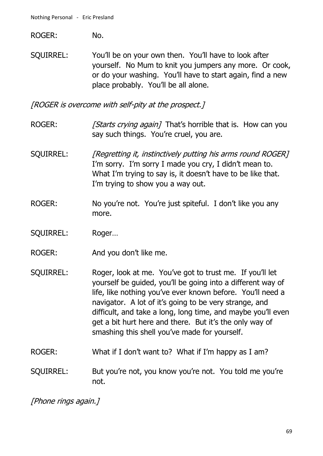ROGER: No.

SQUIRREL: You'll be on your own then. You'll have to look after yourself. No Mum to knit you jumpers any more. Or cook, or do your washing. You'll have to start again, find a new place probably. You'll be all alone.

[ROGER is overcome with self-pity at the prospect.]

- ROGER: [Starts crying again] That's horrible that is. How can you say such things. You're cruel, you are.
- SQUIRREL: [Regretting it, instinctively putting his arms round ROGER] I'm sorry. I'm sorry I made you cry, I didn't mean to. What I'm trying to say is, it doesn't have to be like that. I'm trying to show you a way out.
- ROGER: No you're not. You're just spiteful. I don't like you any more.
- SQUIRREL: Roger…
- ROGER: And you don't like me.
- SQUIRREL: Roger, look at me. You've got to trust me. If you'll let yourself be guided, you'll be going into a different way of life, like nothing you've ever known before. You'll need a navigator. A lot of it's going to be very strange, and difficult, and take a long, long time, and maybe you'll even get a bit hurt here and there. But it's the only way of smashing this shell you've made for yourself.
- ROGER: What if I don't want to? What if I'm happy as I am?
- SQUIRREL: But you're not, you know you're not. You told me you're not.

[Phone rings again.]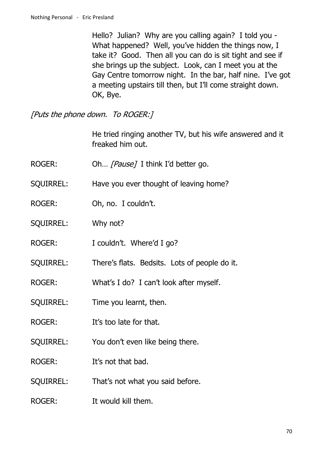Hello? Julian? Why are you calling again? I told you - What happened? Well, you've hidden the things now, I take it? Good. Then all you can do is sit tight and see if she brings up the subject. Look, can I meet you at the Gay Centre tomorrow night. In the bar, half nine. I've got a meeting upstairs till then, but I'll come straight down. OK, Bye.

[Puts the phone down. To ROGER:]

He tried ringing another TV, but his wife answered and it freaked him out.

- ROGER: Oh... [Pause] I think I'd better go.
- SQUIRREL: Have you ever thought of leaving home?
- ROGER: Oh, no. I couldn't.
- SQUIRREL: Why not?
- ROGER: I couldn't. Where'd I go?
- SQUIRREL: There's flats. Bedsits. Lots of people do it.
- ROGER: What's I do? I can't look after myself.
- SQUIRREL: Time you learnt, then.
- ROGER: It's too late for that.
- SQUIRREL: You don't even like being there.
- ROGER: It's not that bad.
- SQUIRREL: That's not what you said before.
- ROGER: It would kill them.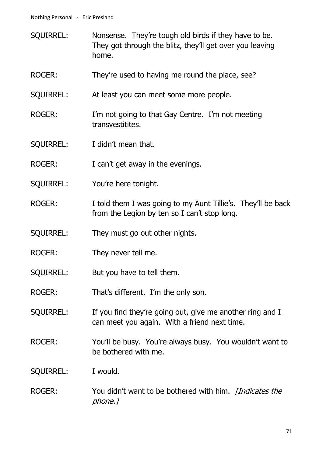- SQUIRREL: Nonsense. They're tough old birds if they have to be. They got through the blitz, they'll get over you leaving home.
- ROGER: They're used to having me round the place, see?
- SQUIRREL: At least you can meet some more people.
- ROGER: I'm not going to that Gay Centre. I'm not meeting transvestitites.
- SQUIRREL: I didn't mean that.
- ROGER: I can't get away in the evenings.
- SQUIRREL: You're here tonight.
- ROGER: I told them I was going to my Aunt Tillie's. They'll be back from the Legion by ten so I can't stop long.
- SQUIRREL: They must go out other nights.
- ROGER: They never tell me.
- SQUIRREL: But you have to tell them.
- ROGER: That's different. I'm the only son.
- SQUIRREL: If you find they're going out, give me another ring and I can meet you again. With a friend next time.
- ROGER: You'll be busy. You're always busy. You wouldn't want to be bothered with me.

#### SQUIRREL: I would.

ROGER: You didn't want to be bothered with him. *[Indicates the* phone.]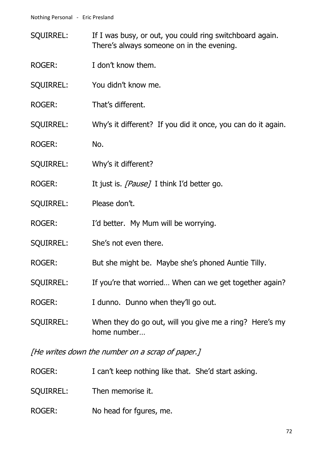- SQUIRREL: If I was busy, or out, you could ring switchboard again. There's always someone on in the evening.
- ROGER: I don't know them.
- SQUIRREL: You didn't know me.
- ROGER: That's different.
- SQUIRREL: Why's it different? If you did it once, you can do it again.
- ROGER: No.
- SQUIRREL: Why's it different?
- ROGER: It just is. [Pause] I think I'd better go.
- SQUIRREL: Please don't.
- ROGER: I'd better. My Mum will be worrying.
- SQUIRREL: She's not even there.
- ROGER: But she might be. Maybe she's phoned Auntie Tilly.
- SQUIRREL: If you're that worried... When can we get together again?
- ROGER: I dunno. Dunno when they'll go out.
- SQUIRREL: When they do go out, will you give me a ring? Here's my home number…

[He writes down the number on a scrap of paper.]

- ROGER: I can't keep nothing like that. She'd start asking.
- SQUIRREL: Then memorise it.
- ROGER: No head for fgures, me.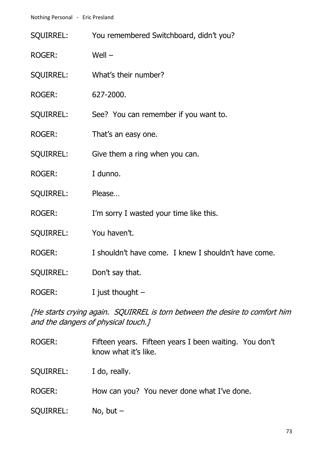|                  | SQUIRREL: You remembered Switchboard, didn't you?    |
|------------------|------------------------------------------------------|
| <b>ROGER:</b>    | Well $-$                                             |
| <b>SQUIRREL:</b> | What's their number?                                 |
| <b>ROGER:</b>    | 627-2000.                                            |
| <b>SQUIRREL:</b> | See? You can remember if you want to.                |
| <b>ROGER:</b>    | That's an easy one.                                  |
| SQUIRREL:        | Give them a ring when you can.                       |
| <b>ROGER:</b>    | I dunno.                                             |
| <b>SQUIRREL:</b> | Please                                               |
| <b>ROGER:</b>    | I'm sorry I wasted your time like this.              |
| <b>SQUIRREL:</b> | You haven't.                                         |
| <b>ROGER:</b>    | I shouldn't have come. I knew I shouldn't have come. |
| <b>SQUIRREL:</b> | Don't say that.                                      |
| <b>ROGER:</b>    | I just thought $-$                                   |

[He starts crying again. SQUIRREL is torn between the desire to comfort him and the dangers of physical touch.]

| <b>ROGER:</b> | Fifteen years. Fifteen years I been waiting. You don't<br>know what it's like. |
|---------------|--------------------------------------------------------------------------------|
| SQUIRREL:     | I do, really.                                                                  |
| ROGER:        | How can you? You never done what I've done.                                    |
| SQUIRREL:     | No, but $-$                                                                    |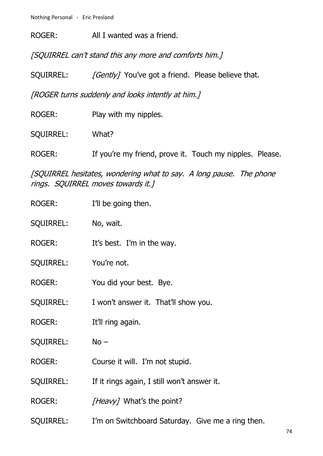ROGER: All I wanted was a friend.

[SQUIRREL can't stand this any more and comforts him.]

SQUIRREL: [Gently] You've got a friend. Please believe that.

[ROGER turns suddenly and looks intently at him.]

| ROGER:    | Play with my nipples.                                    |  |
|-----------|----------------------------------------------------------|--|
| SQUIRREL: | What?                                                    |  |
| ROGER:    | If you're my friend, prove it. Touch my nipples. Please. |  |

[SQUIRREL hesitates, wondering what to say. A long pause. The phone rings. SQUIRREL moves towards it.]

| ROGER:           | I'll be going then.                               |
|------------------|---------------------------------------------------|
| <b>SQUIRREL:</b> | No, wait.                                         |
| <b>ROGER:</b>    | It's best. I'm in the way.                        |
| <b>SQUIRREL:</b> | You're not.                                       |
| <b>ROGER:</b>    | You did your best. Bye.                           |
| <b>SQUIRREL:</b> | I won't answer it. That'll show you.              |
| <b>ROGER:</b>    | It'll ring again.                                 |
| <b>SQUIRREL:</b> | $No -$                                            |
| <b>ROGER:</b>    | Course it will. I'm not stupid.                   |
| <b>SQUIRREL:</b> | If it rings again, I still won't answer it.       |
| ROGER:           | <i>[Heavy]</i> What's the point?                  |
| <b>SQUIRREL:</b> | I'm on Switchboard Saturday. Give me a ring then. |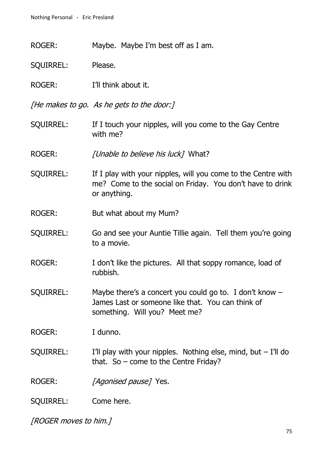ROGER: Maybe. Maybe I'm best off as I am.

SQUIRREL: Please.

ROGER: I'll think about it.

[He makes to go. As he gets to the door:]

SOUIRREL: If I touch your nipples, will you come to the Gay Centre with me?

ROGER: [Unable to believe his luck] What?

- SQUIRREL: If I play with your nipples, will you come to the Centre with me? Come to the social on Friday. You don't have to drink or anything.
- ROGER: But what about my Mum?
- SQUIRREL: Go and see your Auntie Tillie again. Tell them you're going to a movie.
- ROGER: I don't like the pictures. All that soppy romance, load of rubbish.
- SQUIRREL: Maybe there's a concert you could go to. I don't know James Last or someone like that. You can think of something. Will you? Meet me?

ROGER: I dunno.

SQUIRREL: I'll play with your nipples. Nothing else, mind, but  $-$  I'll do that. So – come to the Centre Friday?

ROGER: [Agonised pause] Yes.

SQUIRREL: Come here.

[ROGER moves to him.]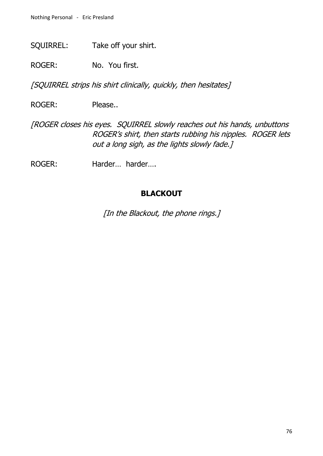SQUIRREL: Take off your shirt.

ROGER: No. You first.

[SQUIRREL strips his shirt clinically, quickly, then hesitates]

ROGER: Please..

[ROGER closes his eyes. SQUIRREL slowly reaches out his hands, unbuttons ROGER's shirt, then starts rubbing his nipples. ROGER lets out a long sigh, as the lights slowly fade.]

ROGER: Harder… harder….

## **BLACKOUT**

[In the Blackout, the phone rings.]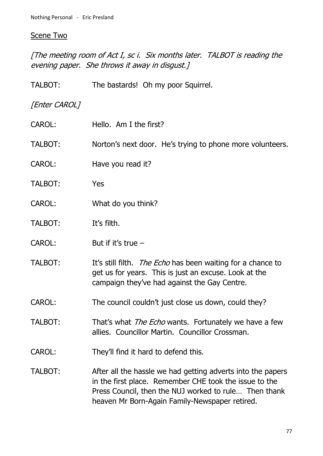# Scene Two

[The meeting room of Act I, sc i. Six months later. TALBOT is reading the evening paper. She throws it away in disgust.]

| TALBOT:       | The bastards! Oh my poor Squirrel.                                                                                                                                                                                               |
|---------------|----------------------------------------------------------------------------------------------------------------------------------------------------------------------------------------------------------------------------------|
| [Enter CAROL] |                                                                                                                                                                                                                                  |
| CAROL:        | Hello. Am I the first?                                                                                                                                                                                                           |
| TALBOT:       | Norton's next door. He's trying to phone more volunteers.                                                                                                                                                                        |
| CAROL:        | Have you read it?                                                                                                                                                                                                                |
| TALBOT:       | Yes                                                                                                                                                                                                                              |
| <b>CAROL:</b> | What do you think?                                                                                                                                                                                                               |
| TALBOT:       | It's filth.                                                                                                                                                                                                                      |
| <b>CAROL:</b> | But if it's true $-$                                                                                                                                                                                                             |
| TALBOT:       | It's still filth. <i>The Echo</i> has been waiting for a chance to<br>get us for years. This is just an excuse. Look at the<br>campaign they've had against the Gay Centre.                                                      |
| <b>CAROL:</b> | The council couldn't just close us down, could they?                                                                                                                                                                             |
| TALBOT:       | That's what <i>The Echo</i> wants. Fortunately we have a few<br>allies. Councillor Martin. Councillor Crossman.                                                                                                                  |
| CAROL:        | They'll find it hard to defend this.                                                                                                                                                                                             |
| TALBOT:       | After all the hassle we had getting adverts into the papers<br>in the first place. Remember CHE took the issue to the<br>Press Council, then the NUJ worked to rule Then thank<br>heaven Mr Born-Again Family-Newspaper retired. |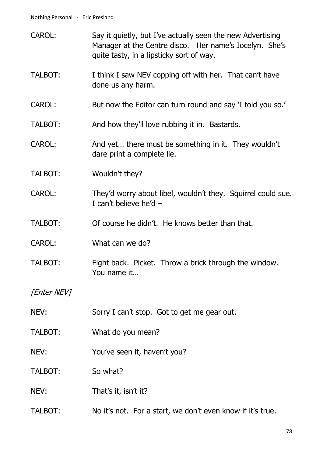| <b>CAROL:</b>  | Say it quietly, but I've actually seen the new Advertising<br>Manager at the Centre disco. Her name's Jocelyn. She's<br>quite tasty, in a lipsticky sort of way. |
|----------------|------------------------------------------------------------------------------------------------------------------------------------------------------------------|
| TALBOT:        | I think I saw NEV copping off with her. That can't have<br>done us any harm.                                                                                     |
| <b>CAROL:</b>  | But now the Editor can turn round and say 'I told you so.'                                                                                                       |
| TALBOT:        | And how they'll love rubbing it in. Bastards.                                                                                                                    |
| <b>CAROL:</b>  | And yet there must be something in it. They wouldn't<br>dare print a complete lie.                                                                               |
| TALBOT:        | Wouldn't they?                                                                                                                                                   |
| <b>CAROL:</b>  | They'd worry about libel, wouldn't they. Squirrel could sue.<br>I can't believe he'd $-$                                                                         |
| TALBOT:        | Of course he didn't. He knows better than that.                                                                                                                  |
| <b>CAROL:</b>  | What can we do?                                                                                                                                                  |
| <b>TALBOT:</b> | Fight back. Picket. Throw a brick through the window.<br>You name it                                                                                             |
| [Enter NEV]    |                                                                                                                                                                  |
| NEV:           | Sorry I can't stop. Got to get me gear out.                                                                                                                      |
| TALBOT:        | What do you mean?                                                                                                                                                |
| NEV:           | You've seen it, haven't you?                                                                                                                                     |
| TALBOT:        | So what?                                                                                                                                                         |
| NEV:           | That's it, isn't it?                                                                                                                                             |
| TALBOT:        | No it's not. For a start, we don't even know if it's true.                                                                                                       |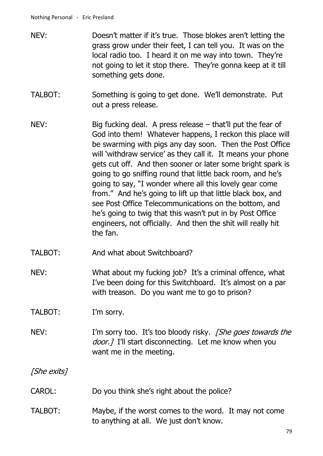- NEV: Doesn't matter if it's true. Those blokes aren't letting the grass grow under their feet, I can tell you. It was on the local radio too. I heard it on me way into town. They're not going to let it stop there. They're gonna keep at it till something gets done.
- TALBOT: Something is going to get done. We'll demonstrate. Put out a press release.
- NEV: Big fucking deal. A press release that'll put the fear of God into them! Whatever happens, I reckon this place will be swarming with pigs any day soon. Then the Post Office will 'withdraw service' as they call it. It means your phone gets cut off. And then sooner or later some bright spark is going to go sniffing round that little back room, and he's going to say, "I wonder where all this lovely gear come from." And he's going to lift up that little black box, and see Post Office Telecommunications on the bottom, and he's going to twig that this wasn't put in by Post Office engineers, not officially. And then the shit will really hit the fan.
- TALBOT: And what about Switchboard?
- NEV: What about my fucking job? It's a criminal offence, what I've been doing for this Switchboard. It's almost on a par with treason. Do you want me to go to prison?

### TALBOT: I'm sorry.

NEV: I'm sorry too. It's too bloody risky. *[She goes towards the* door. *I* I'll start disconnecting. Let me know when you want me in the meeting.

[She exits]

- CAROL: Do you think she's right about the police?
- TALBOT: Maybe, if the worst comes to the word. It may not come to anything at all. We just don't know.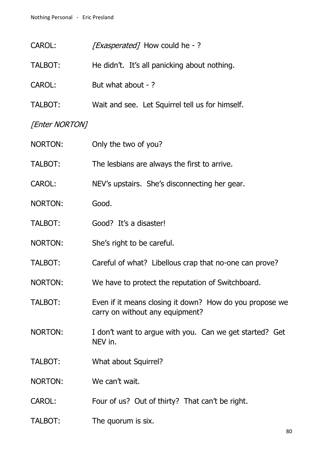| CAROL:         | [ <i>Exasperated</i> ] How could he -?                                                     |
|----------------|--------------------------------------------------------------------------------------------|
| TALBOT:        | He didn't. It's all panicking about nothing.                                               |
| <b>CAROL:</b>  | But what about - ?                                                                         |
| TALBOT:        | Wait and see. Let Squirrel tell us for himself.                                            |
| [Enter NORTON] |                                                                                            |
| NORTON:        | Only the two of you?                                                                       |
| TALBOT:        | The lesbians are always the first to arrive.                                               |
| <b>CAROL:</b>  | NEV's upstairs. She's disconnecting her gear.                                              |
| NORTON:        | Good.                                                                                      |
| TALBOT:        | Good? It's a disaster!                                                                     |
| <b>NORTON:</b> | She's right to be careful.                                                                 |
| TALBOT:        | Careful of what? Libellous crap that no-one can prove?                                     |
| NORTON:        | We have to protect the reputation of Switchboard.                                          |
| TALBOT:        | Even if it means closing it down? How do you propose we<br>carry on without any equipment? |
| NORTON:        | I don't want to argue with you. Can we get started? Get<br>NEV in.                         |
| TALBOT:        | What about Squirrel?                                                                       |
| NORTON:        | We can't wait.                                                                             |
| CAROL:         | Four of us? Out of thirty? That can't be right.                                            |
|                |                                                                                            |

TALBOT: The quorum is six.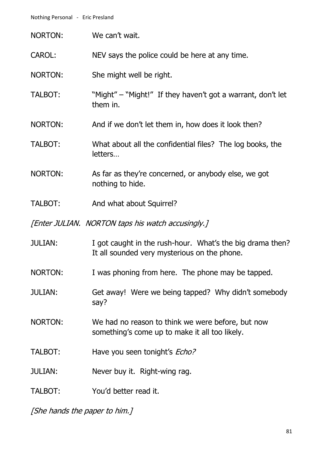| <b>NORTON:</b> | We can't wait.                                                                                            |
|----------------|-----------------------------------------------------------------------------------------------------------|
| CAROL:         | NEV says the police could be here at any time.                                                            |
| <b>NORTON:</b> | She might well be right.                                                                                  |
| TALBOT:        | "Might" – "Might!" If they haven't got a warrant, don't let<br>them in.                                   |
| <b>NORTON:</b> | And if we don't let them in, how does it look then?                                                       |
| <b>TALBOT:</b> | What about all the confidential files? The log books, the<br>letters                                      |
| NORTON:        | As far as they're concerned, or anybody else, we got<br>nothing to hide.                                  |
| TALBOT:        | And what about Squirrel?                                                                                  |
|                |                                                                                                           |
|                | [Enter JULIAN. NORTON taps his watch accusingly.]                                                         |
| <b>JULIAN:</b> | I got caught in the rush-hour. What's the big drama then?<br>It all sounded very mysterious on the phone. |
| NORTON:        | I was phoning from here. The phone may be tapped.                                                         |
| <b>JULIAN:</b> | Get away! Were we being tapped? Why didn't somebody<br>say?                                               |
| NORTON:        | We had no reason to think we were before, but now<br>something's come up to make it all too likely.       |
| TALBOT:        | Have you seen tonight's <i>Echo?</i>                                                                      |
| <b>JULIAN:</b> | Never buy it. Right-wing rag.                                                                             |

[She hands the paper to him.]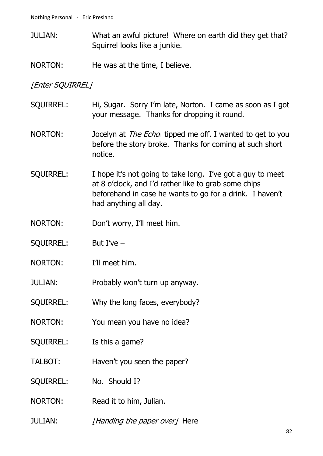- JULIAN: What an awful picture! Where on earth did they get that? Squirrel looks like a junkie.
- NORTON: He was at the time, I believe.

[Enter SQUIRREL]

- SQUIRREL: Hi, Sugar. Sorry I'm late, Norton. I came as soon as I got your message. Thanks for dropping it round.
- NORTON: Jocelyn at *The Echo* tipped me off. I wanted to get to you before the story broke. Thanks for coming at such short notice.
- SQUIRREL: I hope it's not going to take long. I've got a guy to meet at 8 o'clock, and I'd rather like to grab some chips beforehand in case he wants to go for a drink. I haven't had anything all day.
- NORTON: Don't worry, I'll meet him.
- SQUIRREL: But I've –
- NORTON: I'll meet him.
- JULIAN: Probably won't turn up anyway.
- SQUIRREL: Why the long faces, everybody?
- NORTON: You mean you have no idea?
- SQUIRREL: Is this a game?
- TALBOT: Haven't you seen the paper?
- SQUIRREL: No. Should I?
- NORTON: Read it to him, Julian.
- JULIAN: [Handing the paper over] Here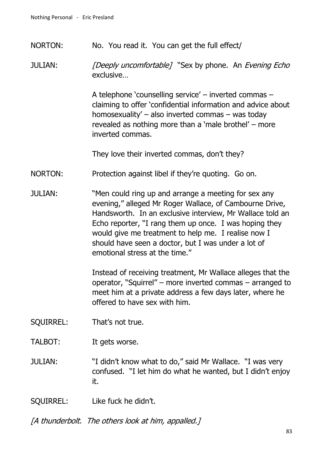NORTON: No. You read it. You can get the full effect/

JULIAN: [Deeply uncomfortable] "Sex by phone. An Evening Echo exclusive…

> A telephone 'counselling service' – inverted commas – claiming to offer 'confidential information and advice about homosexuality' – also inverted commas – was today revealed as nothing more than a 'male brothel' – more inverted commas.

They love their inverted commas, don't they?

- NORTON: Protection against libel if they're quoting. Go on.
- JULIAN: "Men could ring up and arrange a meeting for sex any evening," alleged Mr Roger Wallace, of Cambourne Drive, Handsworth. In an exclusive interview, Mr Wallace told an Echo reporter, "I rang them up once. I was hoping they would give me treatment to help me. I realise now I should have seen a doctor, but I was under a lot of emotional stress at the time."

Instead of receiving treatment, Mr Wallace alleges that the operator, "Squirrel" – more inverted commas – arranged to meet him at a private address a few days later, where he offered to have sex with him.

- SQUIRREL: That's not true.
- TALBOT: It gets worse.
- JULIAN: "I didn't know what to do," said Mr Wallace. "I was very confused. "I let him do what he wanted, but I didn't enjoy it.
- SQUIRREL: Like fuck he didn't.

[A thunderbolt. The others look at him, appalled.]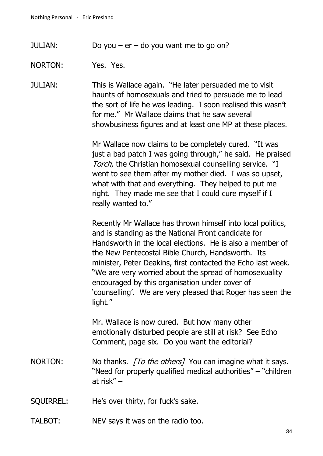JULIAN: Do you –  $er$  – do you want me to go on?

NORTON: Yes. Yes.

JULIAN: This is Wallace again. "He later persuaded me to visit haunts of homosexuals and tried to persuade me to lead the sort of life he was leading. I soon realised this wasn't for me." Mr Wallace claims that he saw several showbusiness figures and at least one MP at these places.

> Mr Wallace now claims to be completely cured. "It was just a bad patch I was going through," he said. He praised Torch, the Christian homosexual counselling service. "I went to see them after my mother died. I was so upset, what with that and everything. They helped to put me right. They made me see that I could cure myself if I really wanted to."

> Recently Mr Wallace has thrown himself into local politics, and is standing as the National Front candidate for Handsworth in the local elections. He is also a member of the New Pentecostal Bible Church, Handsworth. Its minister, Peter Deakins, first contacted the Echo last week. "We are very worried about the spread of homosexuality encouraged by this organisation under cover of 'counselling'. We are very pleased that Roger has seen the light."

Mr. Wallace is now cured. But how many other emotionally disturbed people are still at risk? See Echo Comment, page six. Do you want the editorial?

- NORTON: No thanks. [To the others] You can imagine what it says. "Need for properly qualified medical authorities" – "children at risk" –
- SQUIRREL: He's over thirty, for fuck's sake.
- TALBOT: NEV says it was on the radio too.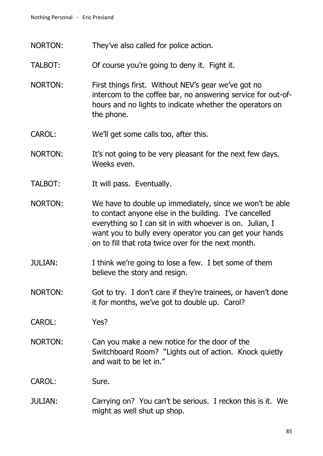- NORTON: They've also called for police action.
- TALBOT: Of course you're going to deny it. Fight it.
- NORTON: First things first. Without NEV's gear we've got no intercom to the coffee bar, no answering service for out-ofhours and no lights to indicate whether the operators on the phone.
- CAROL: We'll get some calls too, after this.
- NORTON: It's not going to be very pleasant for the next few days. Weeks even.
- TALBOT: It will pass. Eventually.
- NORTON: We have to double up immediately, since we won't be able to contact anyone else in the building. I've cancelled everything so I can sit in with whoever is on. Julian, I want you to bully every operator you can get your hands on to fill that rota twice over for the next month.
- JULIAN: I think we're going to lose a few. I bet some of them believe the story and resign.
- NORTON: Got to try. I don't care if they're trainees, or haven't done it for months, we've got to double up. Carol?
- CAROL: Yes?
- NORTON: Can you make a new notice for the door of the Switchboard Room? "Lights out of action. Knock quietly and wait to be let in."

#### CAROL: Sure.

JULIAN: Carrying on? You can't be serious. I reckon this is it. We might as well shut up shop.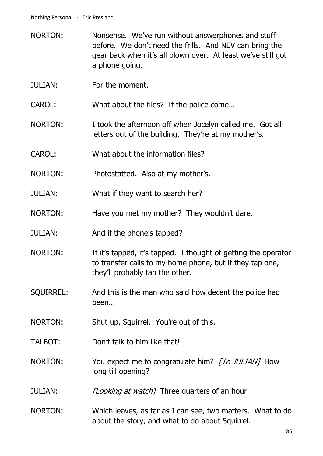- NORTON: Nonsense. We've run without answerphones and stuff before. We don't need the frills. And NEV can bring the gear back when it's all blown over. At least we've still got a phone going.
- JULIAN: For the moment.

CAROL: What about the files? If the police come…

- NORTON: I took the afternoon off when Jocelyn called me. Got all letters out of the building. They're at my mother's.
- CAROL: What about the information files?

NORTON: Photostatted. Also at my mother's.

JULIAN: What if they want to search her?

- NORTON: Have you met my mother? They wouldn't dare.
- JULIAN: And if the phone's tapped?
- NORTON: If it's tapped, it's tapped. I thought of getting the operator to transfer calls to my home phone, but if they tap one, they'll probably tap the other.
- SQUIRREL: And this is the man who said how decent the police had been…
- NORTON: Shut up, Squirrel. You're out of this.
- TALBOT: Don't talk to him like that!
- NORTON: You expect me to congratulate him? [To JULIAN] How long till opening?
- JULIAN: [Looking at watch] Three quarters of an hour.
- NORTON: Which leaves, as far as I can see, two matters. What to do about the story, and what to do about Squirrel.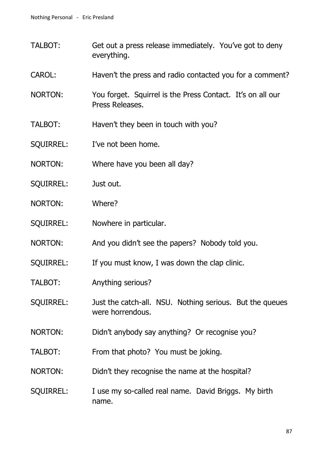- TALBOT: Get out a press release immediately. You've got to deny everything.
- CAROL: Haven't the press and radio contacted you for a comment?
- NORTON: You forget. Squirrel is the Press Contact. It's on all our Press Releases.
- TALBOT: Haven't they been in touch with you?
- SQUIRREL: I've not been home.
- NORTON: Where have you been all day?
- SQUIRREL: Just out.
- NORTON: Where?
- SQUIRREL: Nowhere in particular.
- NORTON: And you didn't see the papers? Nobody told you.
- SQUIRREL: If you must know, I was down the clap clinic.
- TALBOT: Anything serious?
- SQUIRREL: Just the catch-all. NSU. Nothing serious. But the queues were horrendous.
- NORTON: Didn't anybody say anything? Or recognise you?
- TALBOT: From that photo? You must be joking.
- NORTON: Didn't they recognise the name at the hospital?
- SQUIRREL: I use my so-called real name. David Briggs. My birth name.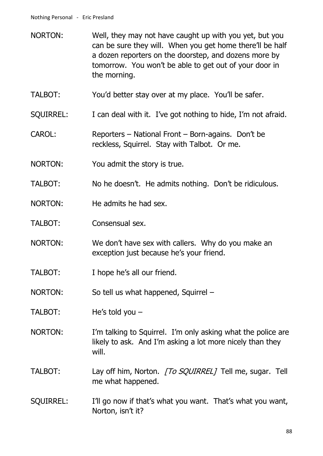- NORTON: Well, they may not have caught up with you yet, but you can be sure they will. When you get home there'll be half a dozen reporters on the doorstep, and dozens more by tomorrow. You won't be able to get out of your door in the morning.
- TALBOT: You'd better stay over at my place. You'll be safer.
- SQUIRREL: I can deal with it. I've got nothing to hide, I'm not afraid.
- CAROL: Reporters National Front Born-agains. Don't be reckless, Squirrel. Stay with Talbot. Or me.
- NORTON: You admit the story is true.
- TALBOT: No he doesn't. He admits nothing. Don't be ridiculous.
- NORTON: He admits he had sex.
- TALBOT: Consensual sex.
- NORTON: We don't have sex with callers. Why do you make an exception just because he's your friend.
- TALBOT: I hope he's all our friend.
- NORTON: So tell us what happened, Squirrel –
- TALBOT: He's told you –
- NORTON: I'm talking to Squirrel. I'm only asking what the police are likely to ask. And I'm asking a lot more nicely than they will.
- TALBOT: Lay off him, Norton. [To SQUIRREL] Tell me, sugar. Tell me what happened.
- SQUIRREL: I'll go now if that's what you want. That's what you want, Norton, isn't it?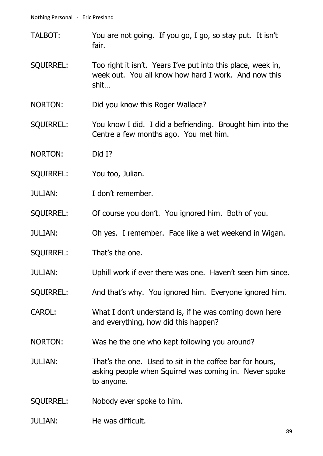- TALBOT: You are not going. If you go, I go, so stay put. It isn't fair.
- SQUIRREL: Too right it isn't. Years I've put into this place, week in, week out. You all know how hard I work. And now this shit…
- NORTON: Did you know this Roger Wallace?
- SQUIRREL: You know I did. I did a befriending. Brought him into the Centre a few months ago. You met him.
- NORTON: Did I?
- SQUIRREL: You too, Julian.
- JULIAN: I don't remember.
- SQUIRREL: Of course you don't. You ignored him. Both of you.
- JULIAN: Oh yes. I remember. Face like a wet weekend in Wigan.
- SQUIRREL: That's the one.
- JULIAN: Uphill work if ever there was one. Haven't seen him since.
- SQUIRREL: And that's why. You ignored him. Everyone ignored him.
- CAROL: What I don't understand is, if he was coming down here and everything, how did this happen?
- NORTON: Was he the one who kept following you around?
- JULIAN: That's the one. Used to sit in the coffee bar for hours, asking people when Squirrel was coming in. Never spoke to anyone.
- SQUIRREL: Nobody ever spoke to him.
- JULIAN: He was difficult.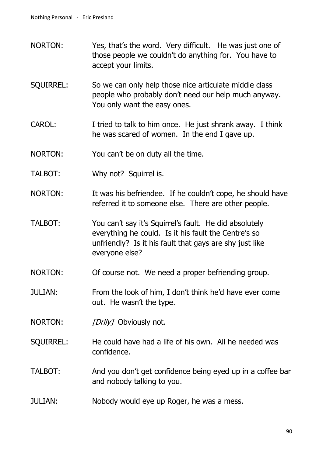- NORTON: Yes, that's the word. Very difficult. He was just one of those people we couldn't do anything for. You have to accept your limits.
- SQUIRREL: So we can only help those nice articulate middle class people who probably don't need our help much anyway. You only want the easy ones.
- CAROL: I tried to talk to him once. He just shrank away. I think he was scared of women. In the end I gave up.
- NORTON: You can't be on duty all the time.
- TALBOT: Why not? Squirrel is.
- NORTON: It was his befriendee. If he couldn't cope, he should have referred it to someone else. There are other people.
- TALBOT: You can't say it's Squirrel's fault. He did absolutely everything he could. Is it his fault the Centre's so unfriendly? Is it his fault that gays are shy just like everyone else?
- NORTON: Of course not. We need a proper befriending group.
- JULIAN: From the look of him, I don't think he'd have ever come out. He wasn't the type.
- NORTON: [Drily] Obviously not.
- SQUIRREL: He could have had a life of his own. All he needed was confidence.
- TALBOT: And you don't get confidence being eyed up in a coffee bar and nobody talking to you.
- JULIAN: Nobody would eye up Roger, he was a mess.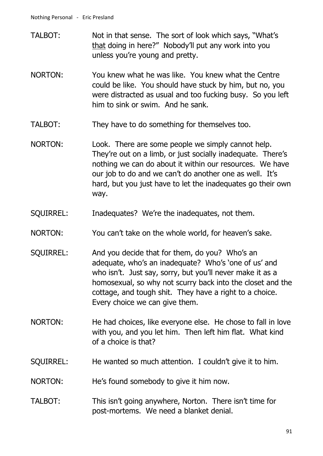- TALBOT: Not in that sense. The sort of look which says, "What's that doing in here?" Nobody'll put any work into you unless you're young and pretty.
- NORTON: You knew what he was like. You knew what the Centre could be like. You should have stuck by him, but no, you were distracted as usual and too fucking busy. So you left him to sink or swim. And he sank.
- TALBOT: They have to do something for themselves too.
- NORTON: Look. There are some people we simply cannot help. They're out on a limb, or just socially inadequate. There's nothing we can do about it within our resources. We have our job to do and we can't do another one as well. It's hard, but you just have to let the inadequates go their own way.
- SQUIRREL: Inadequates? We're the inadequates, not them.
- NORTON: You can't take on the whole world, for heaven's sake.
- SQUIRREL: And you decide that for them, do you? Who's an adequate, who's an inadequate? Who's 'one of us' and who isn't. Just say, sorry, but you'll never make it as a homosexual, so why not scurry back into the closet and the cottage, and tough shit. They have a right to a choice. Every choice we can give them.
- NORTON: He had choices, like everyone else. He chose to fall in love with you, and you let him. Then left him flat. What kind of a choice is that?
- SQUIRREL: He wanted so much attention. I couldn't give it to him.
- NORTON: He's found somebody to give it him now.
- TALBOT: This isn't going anywhere, Norton. There isn't time for post-mortems. We need a blanket denial.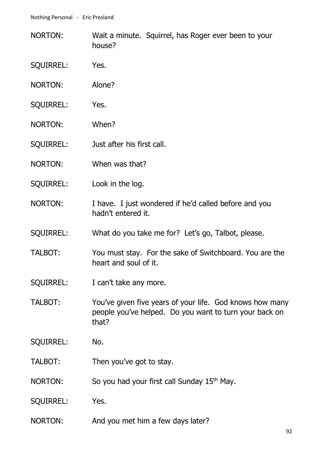- NORTON: Wait a minute. Squirrel, has Roger ever been to your house?
- SQUIRREL: Yes.
- NORTON: Alone?
- SQUIRREL: Yes.
- NORTON: When?
- SQUIRREL: Just after his first call.
- NORTON: When was that?
- SQUIRREL: Look in the log.
- NORTON: I have. I just wondered if he'd called before and you hadn't entered it.
- SQUIRREL: What do you take me for? Let's go, Talbot, please.
- TALBOT: You must stay. For the sake of Switchboard. You are the heart and soul of it.
- SQUIRREL: I can't take any more.
- TALBOT: You've given five years of your life. God knows how many people you've helped. Do you want to turn your back on that?
- SQUIRREL: No.
- TALBOT: Then you've got to stay.
- NORTON: So you had your first call Sunday 15<sup>th</sup> May.
- SQUIRREL: Yes.
- NORTON: And you met him a few days later?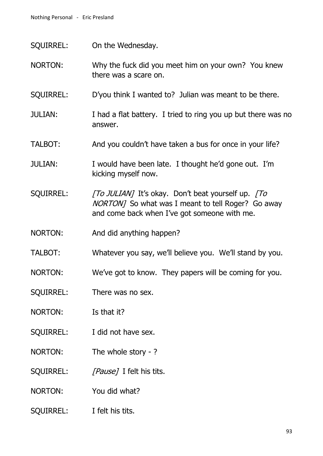- SQUIRREL: On the Wednesday.
- NORTON: Why the fuck did you meet him on your own? You knew there was a scare on.
- SQUIRREL: D'you think I wanted to? Julian was meant to be there.
- JULIAN: I had a flat battery. I tried to ring you up but there was no answer.
- TALBOT: And you couldn't have taken a bus for once in your life?
- JULIAN: I would have been late. I thought he'd gone out. I'm kicking myself now.
- SQUIRREL: [To JULIAN] It's okay. Don't beat yourself up. [To NORTON] So what was I meant to tell Roger? Go away and come back when I've got someone with me.
- NORTON: And did anything happen?
- TALBOT: Whatever you say, we'll believe you. We'll stand by you.
- NORTON: We've got to know. They papers will be coming for you.
- SQUIRREL: There was no sex.
- NORTON: Is that it?
- SQUIRREL: I did not have sex.
- NORTON: The whole story ?
- SOUIRREL: [Pause] I felt his tits.
- NORTON: You did what?
- SQUIRREL: I felt his tits.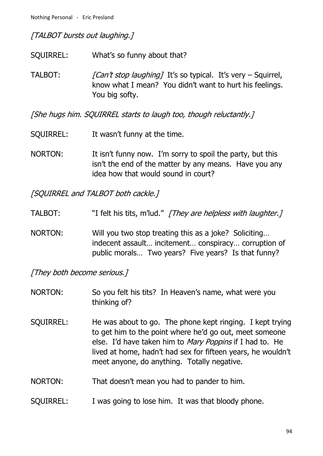[TALBOT bursts out laughing.]

- SQUIRREL: What's so funny about that?
- TALBOT:  $\int Can't stop \, language \, It's so typical. It's very Squirrel,$ know what I mean? You didn't want to hurt his feelings. You big softy.

[She hugs him. SQUIRREL starts to laugh too, though reluctantly.]

- SQUIRREL: It wasn't funny at the time.
- NORTON: It isn't funny now. I'm sorry to spoil the party, but this isn't the end of the matter by any means. Have you any idea how that would sound in court?

[SQUIRREL and TALBOT both cackle.]

- TALBOT: "I felt his tits, m'lud." [They are helpless with laughter.]
- NORTON: Will you two stop treating this as a joke? Soliciting… indecent assault… incitement… conspiracy… corruption of public morals… Two years? Five years? Is that funny?

[They both become serious.]

- NORTON: So you felt his tits? In Heaven's name, what were you thinking of?
- SQUIRREL: He was about to go. The phone kept ringing. I kept trying to get him to the point where he'd go out, meet someone else. I'd have taken him to Mary Poppins if I had to. He lived at home, hadn't had sex for fifteen years, he wouldn't meet anyone, do anything. Totally negative.
- NORTON: That doesn't mean you had to pander to him.
- SQUIRREL: I was going to lose him. It was that bloody phone.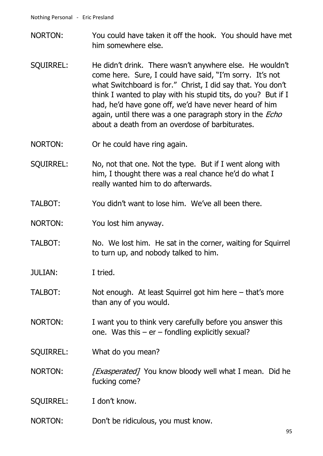- NORTON: You could have taken it off the hook. You should have met him somewhere else.
- SQUIRREL: He didn't drink. There wasn't anywhere else. He wouldn't come here. Sure, I could have said, "I'm sorry. It's not what Switchboard is for." Christ, I did say that. You don't think I wanted to play with his stupid tits, do you? But if I had, he'd have gone off, we'd have never heard of him again, until there was a one paragraph story in the *Echo* about a death from an overdose of barbiturates.
- NORTON: Or he could have ring again.
- SQUIRREL: No, not that one. Not the type. But if I went along with him, I thought there was a real chance he'd do what I really wanted him to do afterwards.
- TALBOT: You didn't want to lose him. We've all been there.
- NORTON: You lost him anyway.
- TALBOT: No. We lost him. He sat in the corner, waiting for Squirrel to turn up, and nobody talked to him.
- JULIAN: I tried.
- TALBOT: Not enough. At least Squirrel got him here that's more than any of you would.
- NORTON: I want you to think very carefully before you answer this one. Was this  $-$  er  $-$  fondling explicitly sexual?
- SQUIRREL: What do you mean?
- NORTON: [*Exasperated]* You know bloody well what I mean. Did he fucking come?
- SOUIRREL: I don't know.
- NORTON: Don't be ridiculous, you must know.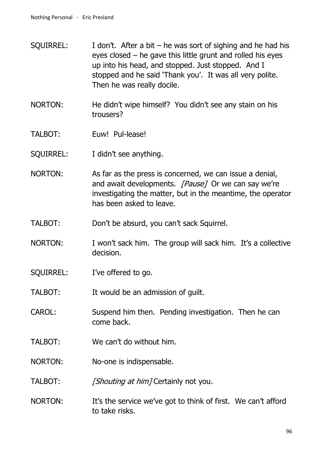- SQUIRREL: I don't. After a bit he was sort of sighing and he had his eyes closed – he gave this little grunt and rolled his eyes up into his head, and stopped. Just stopped. And I stopped and he said 'Thank you'. It was all very polite. Then he was really docile.
- NORTON: He didn't wipe himself? You didn't see any stain on his trousers?
- TALBOT: Euw! Pul-lease!
- SQUIRREL: I didn't see anything.
- NORTON: As far as the press is concerned, we can issue a denial, and await developments. [Pause] Or we can say we're investigating the matter, but in the meantime, the operator has been asked to leave.
- TALBOT: Don't be absurd, you can't sack Squirrel.
- NORTON: I won't sack him. The group will sack him. It's a collective decision.
- SQUIRREL: I've offered to go.
- TALBOT: It would be an admission of guilt.
- CAROL: Suspend him then. Pending investigation. Then he can come back.
- TALBOT: We can't do without him.
- NORTON: No-one is indispensable.
- TALBOT: [Shouting at him] Certainly not you.
- NORTON: It's the service we've got to think of first. We can't afford to take risks.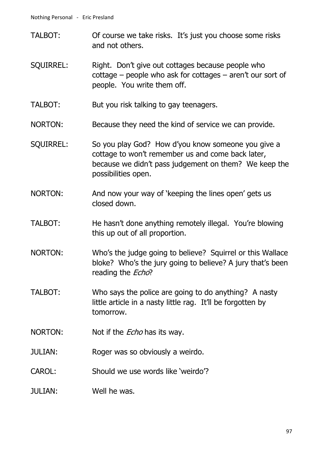- TALBOT: Of course we take risks. It's just you choose some risks and not others.
- SQUIRREL: Right. Don't give out cottages because people who cottage – people who ask for cottages – aren't our sort of people. You write them off.
- TALBOT: But you risk talking to gay teenagers.
- NORTON: Because they need the kind of service we can provide.
- SQUIRREL: So you play God? How d'you know someone you give a cottage to won't remember us and come back later, because we didn't pass judgement on them? We keep the possibilities open.
- NORTON: And now your way of 'keeping the lines open' gets us closed down.
- TALBOT: He hasn't done anything remotely illegal. You're blowing this up out of all proportion.
- NORTON: Who's the judge going to believe? Squirrel or this Wallace bloke? Who's the jury going to believe? A jury that's been reading the *Echo*?
- TALBOT: Who says the police are going to do anything? A nasty little article in a nasty little rag. It'll be forgotten by tomorrow.
- NORTON: Not if the *Echo* has its way.
- JULIAN: Roger was so obviously a weirdo.
- CAROL: Should we use words like 'weirdo'?
- JULIAN: Well he was.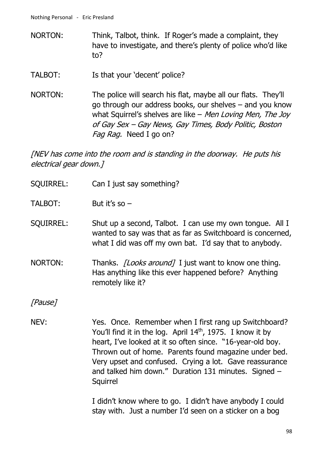- NORTON: Think, Talbot, think. If Roger's made a complaint, they have to investigate, and there's plenty of police who'd like to?
- TALBOT: Is that your 'decent' police?
- NORTON: The police will search his flat, maybe all our flats. They'll go through our address books, our shelves – and you know what Squirrel's shelves are like – Men Loving Men, The Joy of Gay Sex – Gay News, Gay Times, Body Politic, Boston Fag Rag. Need I go on?

[NEV has come into the room and is standing in the doorway. He puts his electrical gear down.]

- SQUIRREL: Can I just say something?
- TALBOT: But it's so –
- SQUIRREL: Shut up a second, Talbot. I can use my own tongue. All I wanted to say was that as far as Switchboard is concerned, what I did was off my own bat. I'd say that to anybody.
- NORTON: Thanks. *[Looks around]* I just want to know one thing. Has anything like this ever happened before? Anything remotely like it?

[Pause]

NEV: Yes. Once. Remember when I first rang up Switchboard? You'll find it in the log. April 14<sup>th</sup>, 1975. I know it by heart, I've looked at it so often since. "16-year-old boy. Thrown out of home. Parents found magazine under bed. Very upset and confused. Crying a lot. Gave reassurance and talked him down." Duration 131 minutes. Signed – Squirrel

> I didn't know where to go. I didn't have anybody I could stay with. Just a number I'd seen on a sticker on a bog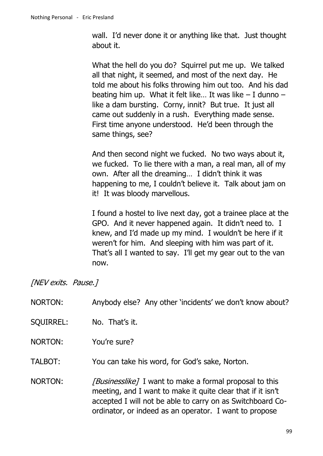wall. I'd never done it or anything like that. Just thought about it.

What the hell do you do? Squirrel put me up. We talked all that night, it seemed, and most of the next day. He told me about his folks throwing him out too. And his dad beating him up. What it felt like... It was like  $-1$  dunno  $$ like a dam bursting. Corny, innit? But true. It just all came out suddenly in a rush. Everything made sense. First time anyone understood. He'd been through the same things, see?

And then second night we fucked. No two ways about it, we fucked. To lie there with a man, a real man, all of my own. After all the dreaming… I didn't think it was happening to me, I couldn't believe it. Talk about jam on it! It was bloody marvellous.

I found a hostel to live next day, got a trainee place at the GPO. And it never happened again. It didn't need to. I knew, and I'd made up my mind. I wouldn't be here if it weren't for him. And sleeping with him was part of it. That's all I wanted to say. I'll get my gear out to the van now.

[NEV exits. Pause.]

| <b>NORTON:</b>   | Anybody else? Any other 'incidents' we don't know about?                                                                                                                                                                                              |
|------------------|-------------------------------------------------------------------------------------------------------------------------------------------------------------------------------------------------------------------------------------------------------|
| <b>SQUIRREL:</b> | No. That's it.                                                                                                                                                                                                                                        |
| <b>NORTON:</b>   | You're sure?                                                                                                                                                                                                                                          |
| TALBOT:          | You can take his word, for God's sake, Norton.                                                                                                                                                                                                        |
| NORTON:          | <i>[Businesslike]</i> I want to make a formal proposal to this<br>meeting, and I want to make it quite clear that if it isn't<br>accepted I will not be able to carry on as Switchboard Co-<br>ordinator, or indeed as an operator. I want to propose |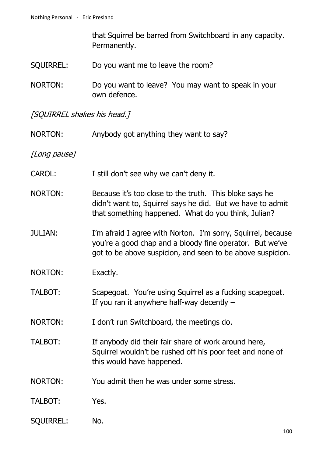that Squirrel be barred from Switchboard in any capacity. Permanently.

- SQUIRREL: Do you want me to leave the room?
- NORTON: Do you want to leave? You may want to speak in your own defence.

[SQUIRREL shakes his head.]

| <b>NORTON:</b>   | Anybody got anything they want to say?                                                                                                                                                 |
|------------------|----------------------------------------------------------------------------------------------------------------------------------------------------------------------------------------|
| [Long pause]     |                                                                                                                                                                                        |
| <b>CAROL:</b>    | I still don't see why we can't deny it.                                                                                                                                                |
| NORTON:          | Because it's too close to the truth. This bloke says he<br>didn't want to, Squirrel says he did. But we have to admit<br>that something happened. What do you think, Julian?           |
| <b>JULIAN:</b>   | I'm afraid I agree with Norton. I'm sorry, Squirrel, because<br>you're a good chap and a bloody fine operator. But we've<br>got to be above suspicion, and seen to be above suspicion. |
| <b>NORTON:</b>   | Exactly.                                                                                                                                                                               |
| TALBOT:          | Scapegoat. You're using Squirrel as a fucking scapegoat.<br>If you ran it anywhere half-way decently $-$                                                                               |
| NORTON:          | I don't run Switchboard, the meetings do.                                                                                                                                              |
| <b>TALBOT:</b>   | If anybody did their fair share of work around here,<br>Squirrel wouldn't be rushed off his poor feet and none of<br>this would have happened.                                         |
| NORTON:          | You admit then he was under some stress.                                                                                                                                               |
| <b>TALBOT:</b>   | Yes.                                                                                                                                                                                   |
| <b>SQUIRREL:</b> | No.                                                                                                                                                                                    |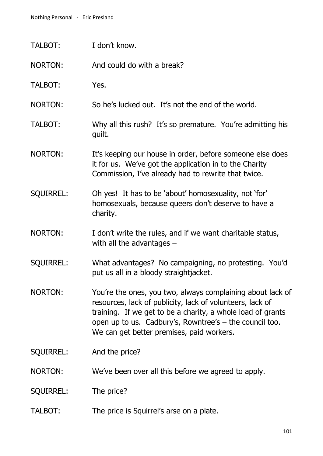| TALBOT:          | I don't know.                                                                                                                                                                                                                                                                                    |
|------------------|--------------------------------------------------------------------------------------------------------------------------------------------------------------------------------------------------------------------------------------------------------------------------------------------------|
| <b>NORTON:</b>   | And could do with a break?                                                                                                                                                                                                                                                                       |
| TALBOT:          | Yes.                                                                                                                                                                                                                                                                                             |
| <b>NORTON:</b>   | So he's lucked out. It's not the end of the world.                                                                                                                                                                                                                                               |
| TALBOT:          | Why all this rush? It's so premature. You're admitting his<br>guilt.                                                                                                                                                                                                                             |
| <b>NORTON:</b>   | It's keeping our house in order, before someone else does<br>it for us. We've got the application in to the Charity<br>Commission, I've already had to rewrite that twice.                                                                                                                       |
| <b>SQUIRREL:</b> | Oh yes! It has to be 'about' homosexuality, not 'for'<br>homosexuals, because queers don't deserve to have a<br>charity.                                                                                                                                                                         |
| <b>NORTON:</b>   | I don't write the rules, and if we want charitable status,<br>with all the advantages $-$                                                                                                                                                                                                        |
| <b>SQUIRREL:</b> | What advantages? No campaigning, no protesting. You'd<br>put us all in a bloody straightjacket.                                                                                                                                                                                                  |
| NORTON:          | You're the ones, you two, always complaining about lack of<br>resources, lack of publicity, lack of volunteers, lack of<br>training. If we get to be a charity, a whole load of grants<br>open up to us. Cadbury's, Rowntree's $-$ the council too.<br>We can get better premises, paid workers. |
| <b>SQUIRREL:</b> | And the price?                                                                                                                                                                                                                                                                                   |
| <b>NORTON:</b>   | We've been over all this before we agreed to apply.                                                                                                                                                                                                                                              |
| <b>SQUIRREL:</b> | The price?                                                                                                                                                                                                                                                                                       |
| TALBOT:          | The price is Squirrel's arse on a plate.                                                                                                                                                                                                                                                         |
|                  |                                                                                                                                                                                                                                                                                                  |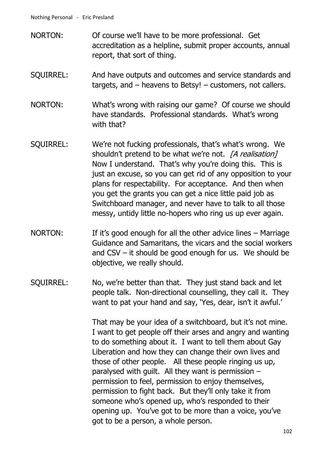- NORTON: Of course we'll have to be more professional. Get accreditation as a helpline, submit proper accounts, annual report, that sort of thing.
- SQUIRREL: And have outputs and outcomes and service standards and targets, and – heavens to Betsy! – customers, not callers.
- NORTON: What's wrong with raising our game? Of course we should have standards. Professional standards. What's wrong with that?
- SQUIRREL: We're not fucking professionals, that's what's wrong. We shouldn't pretend to be what we're not. [A realisation] Now I understand. That's why you're doing this. This is just an excuse, so you can get rid of any opposition to your plans for respectability. For acceptance. And then when you get the grants you can get a nice little paid job as Switchboard manager, and never have to talk to all those messy, untidy little no-hopers who ring us up ever again.
- NORTON: If it's good enough for all the other advice lines Marriage Guidance and Samaritans, the vicars and the social workers and CSV – it should be good enough for us. We should be objective, we really should.
- SQUIRREL: No, we're better than that. They just stand back and let people talk. Non-directional counselling, they call it. They want to pat your hand and say, 'Yes, dear, isn't it awful.'

That may be your idea of a switchboard, but it's not mine. I want to get people off their arses and angry and wanting to do something about it. I want to tell them about Gay Liberation and how they can change their own lives and those of other people. All these people ringing us up, paralysed with guilt. All they want is permission – permission to feel, permission to enjoy themselves, permission to fight back. But they'll only take it from someone who's opened up, who's responded to their opening up. You've got to be more than a voice, you've got to be a person, a whole person.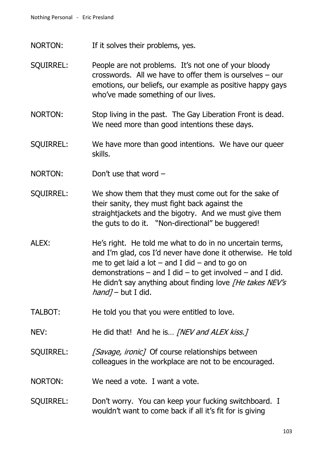- NORTON: If it solves their problems, yes.
- SQUIRREL: People are not problems. It's not one of your bloody crosswords. All we have to offer them is ourselves – our emotions, our beliefs, our example as positive happy gays who've made something of our lives.
- NORTON: Stop living in the past. The Gay Liberation Front is dead. We need more than good intentions these days.
- SQUIRREL: We have more than good intentions. We have our queer skills.
- NORTON: Don't use that word –
- SQUIRREL: We show them that they must come out for the sake of their sanity, they must fight back against the straightjackets and the bigotry. And we must give them the guts to do it. "Non-directional" be buggered!
- ALEX: He's right. He told me what to do in no uncertain terms, and I'm glad, cos I'd never have done it otherwise. He told me to get laid a lot  $-$  and I did  $-$  and to go on demonstrations  $-$  and I did  $-$  to get involved  $-$  and I did. He didn't say anything about finding love [He takes NEV's  $hand$ ] – but I did.
- TALBOT: He told you that you were entitled to love.
- NEV: He did that! And he is... *[NEV and ALEX kiss.]*
- SQUIRREL: [Savage, ironic] Of course relationships between colleagues in the workplace are not to be encouraged.
- NORTON: We need a vote. I want a vote.
- SQUIRREL: Don't worry. You can keep your fucking switchboard. I wouldn't want to come back if all it's fit for is giving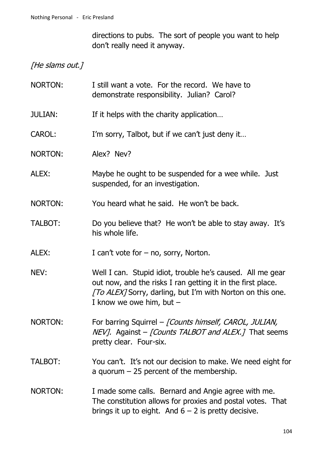directions to pubs. The sort of people you want to help don't really need it anyway.

[He slams out.]

- NORTON: I still want a vote. For the record. We have to demonstrate responsibility. Julian? Carol?
- JULIAN: If it helps with the charity application…
- CAROL: I'm sorry, Talbot, but if we can't just deny it…
- NORTON: Alex? Nev?
- ALEX: Maybe he ought to be suspended for a wee while. Just suspended, for an investigation.
- NORTON: You heard what he said. He won't be back.
- TALBOT: Do you believe that? He won't be able to stay away. It's his whole life.

ALEX: I can't vote for – no, sorry, Norton.

- NEV: Well I can. Stupid idiot, trouble he's caused. All me gear out now, and the risks I ran getting it in the first place. [To ALEX] Sorry, darling, but I'm with Norton on this one. I know we owe him, but  $-$
- NORTON: For barring Squirrel [Counts himself, CAROL, JULIAN,  $NEV$ ]. Against - [Counts TALBOT and ALEX.] That seems pretty clear. Four-six.
- TALBOT: You can't. It's not our decision to make. We need eight for a quorum  $-25$  percent of the membership.
- NORTON: I made some calls. Bernard and Angie agree with me. The constitution allows for proxies and postal votes. That brings it up to eight. And  $6 - 2$  is pretty decisive.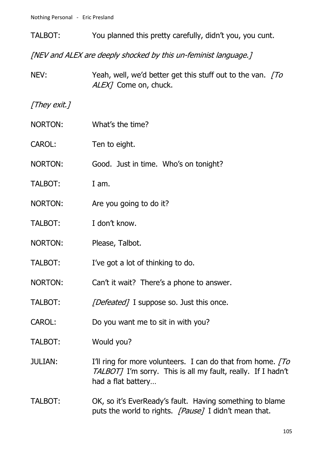- TALBOT: You planned this pretty carefully, didn't you, you cunt. [NEV and ALEX are deeply shocked by this un-feminist language.] NEV: Yeah, well, we'd better get this stuff out to the van. To ALEX<sub>7</sub> Come on, chuck. [They exit.] NORTON: What's the time? CAROL: Ten to eight. NORTON: Good. Just in time. Who's on tonight? TALBOT: I am. NORTON: Are you going to do it? TALBOT: I don't know. NORTON: Please, Talbot.
- TALBOT: I've got a lot of thinking to do.
- NORTON: Can't it wait? There's a phone to answer.
- TALBOT: [Defeated] I suppose so. Just this once.
- CAROL: Do you want me to sit in with you?
- TALBOT: Would you?
- JULIAN: I'll ring for more volunteers. I can do that from home.  $\sqrt{7}$ TALBOT] I'm sorry. This is all my fault, really. If I hadn't had a flat battery…
- TALBOT: OK, so it's EverReady's fault. Having something to blame puts the world to rights. *[Pause]* I didn't mean that.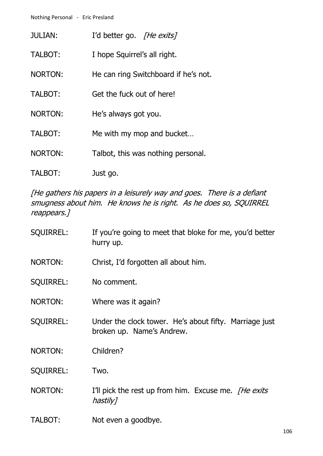| JULIAN:        | I'd better go. [He exits]            |
|----------------|--------------------------------------|
| TALBOT:        | I hope Squirrel's all right.         |
| NORTON:        | He can ring Switchboard if he's not. |
| TALBOT:        | Get the fuck out of here!            |
| NORTON:        | He's always got you.                 |
| <b>TALBOT:</b> | Me with my mop and bucket            |
| <b>NORTON:</b> | Talbot, this was nothing personal.   |
| TALBOT:        | Just go.                             |

[He gathers his papers in a leisurely way and goes. There is a defiant smugness about him. He knows he is right. As he does so, SQUIRREL reappears.]

| <b>SQUIRREL:</b> | If you're going to meet that bloke for me, you'd better<br>hurry up.                |
|------------------|-------------------------------------------------------------------------------------|
| <b>NORTON:</b>   | Christ, I'd forgotten all about him.                                                |
| <b>SQUIRREL:</b> | No comment.                                                                         |
| NORTON:          | Where was it again?                                                                 |
| <b>SQUIRREL:</b> | Under the clock tower. He's about fifty. Marriage just<br>broken up. Name's Andrew. |
| <b>NORTON:</b>   | Children?                                                                           |
| <b>SQUIRREL:</b> | Two.                                                                                |
| <b>NORTON:</b>   | I'll pick the rest up from him. Excuse me. <i>[He exits</i> ]<br>hastily]           |
| <b>TALBOT:</b>   | Not even a goodbye.                                                                 |

106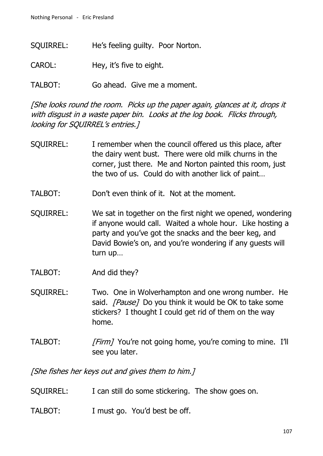- SQUIRREL: He's feeling guilty. Poor Norton.
- CAROL: Hey, it's five to eight.
- TALBOT: Go ahead. Give me a moment.

[She looks round the room. Picks up the paper again, glances at it, drops it with disgust in a waste paper bin. Looks at the log book. Flicks through, looking for SQUIRREL's entries.]

- SQUIRREL: I remember when the council offered us this place, after the dairy went bust. There were old milk churns in the corner, just there. Me and Norton painted this room, just the two of us. Could do with another lick of paint…
- TALBOT: Don't even think of it. Not at the moment.
- SQUIRREL: We sat in together on the first night we opened, wondering if anyone would call. Waited a whole hour. Like hosting a party and you've got the snacks and the beer keg, and David Bowie's on, and you're wondering if any guests will turn up…
- TALBOT: And did they?
- SQUIRREL: Two. One in Wolverhampton and one wrong number. He said. [Pause] Do you think it would be OK to take some stickers? I thought I could get rid of them on the way home.
- TALBOT: [Firm] You're not going home, you're coming to mine. I'll see you later.

[She fishes her keys out and gives them to him.]

- SQUIRREL: I can still do some stickering. The show goes on.
- TALBOT: I must go. You'd best be off.